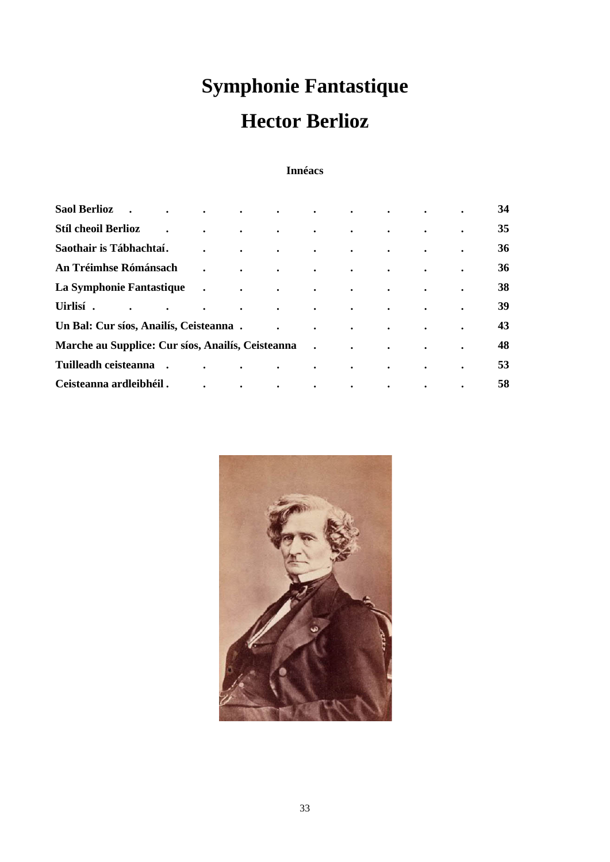# **Symphonie Fantastique Hector Berlioz**

# **Innéacs**

| <b>Saol Berlioz</b>                               | $\bullet$            | $\bullet$                                                 | $\bullet$               | $\bullet$ | $\bullet$                                                           | $\bullet$                           | $\bullet$ | $\bullet$ | $\bullet$ | 34 |
|---------------------------------------------------|----------------------|-----------------------------------------------------------|-------------------------|-----------|---------------------------------------------------------------------|-------------------------------------|-----------|-----------|-----------|----|
| <b>Stíl cheoil Berlioz</b>                        | $\bullet$            | $\bullet$                                                 | $\bullet$               | $\bullet$ | $\bullet$                                                           | $\bullet$                           | $\bullet$ | $\bullet$ | $\bullet$ | 35 |
| Saothair is Tábhachtaí.                           |                      |                                                           | $\bullet$               | $\bullet$ | $\bullet$                                                           | $\bullet$                           | $\bullet$ | $\bullet$ | $\bullet$ | 36 |
| An Tréimhse Rómánsach                             |                      | $\bullet$                                                 | $\ddot{\phantom{a}}$    | $\bullet$ | $\bullet$ .<br><br><br><br><br><br><br><br><br><br><br><br><br><br> | $\bullet$                           | $\bullet$ | $\bullet$ | $\bullet$ | 36 |
| La Symphonie Fantastique                          |                      | $\ddot{\phantom{0}}$                                      | $\sim$ $\sim$<br>$\sim$ |           | $\mathbf{r}$                                                        | $\sim 10^{-10}$ and $\sim 10^{-10}$ | $\bullet$ | $\bullet$ | $\bullet$ | 38 |
| Uirlisí.<br>$\bullet$                             | $\ddot{\phantom{0}}$ | $\bullet$                                                 | $\bullet$               | $\bullet$ | $\bullet$                                                           | $\bullet$                           | $\bullet$ | $\bullet$ | $\bullet$ | 39 |
| Un Bal: Cur síos, Anailís, Ceisteanna.            |                      |                                                           |                         | $\bullet$ | $\bullet$                                                           | $\bullet$                           | $\bullet$ | $\bullet$ | $\bullet$ | 43 |
| Marche au Supplice: Cur síos, Anailís, Ceisteanna |                      |                                                           |                         |           |                                                                     | $\bullet$                           | $\bullet$ | $\bullet$ | $\bullet$ | 48 |
| Tuilleadh ceisteanna                              |                      | <b><i>Committee States States States</i></b><br>$\bullet$ |                         | $\bullet$ | $\bullet$                                                           | $\bullet$                           | $\bullet$ | $\bullet$ | $\bullet$ | 53 |
| Ceisteanna ardleibhéil.                           |                      | $\bullet$                                                 | $\bullet$               | $\bullet$ | $\bullet$                                                           | $\bullet$                           | $\bullet$ | $\bullet$ | $\bullet$ | 58 |

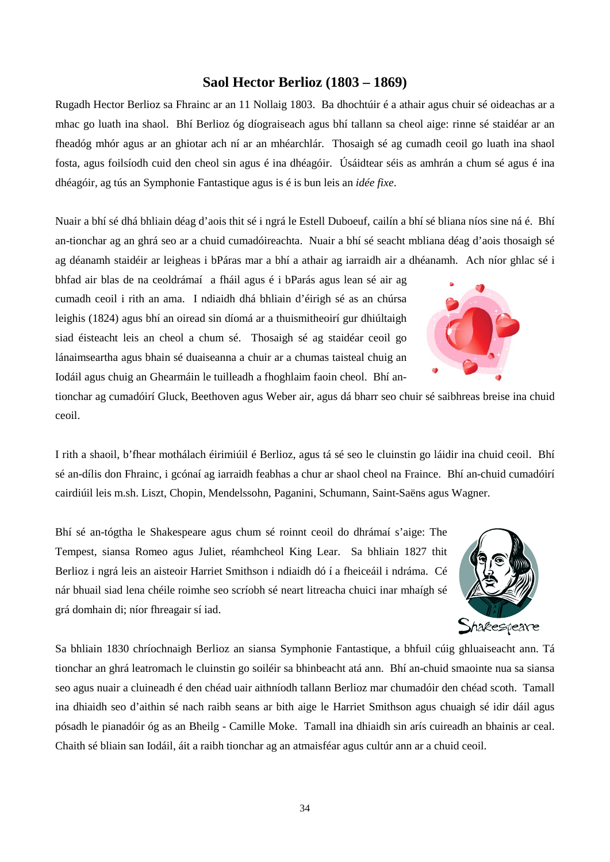# **Saol Hector Berlioz (1803 – 1869)**

Rugadh Hector Berlioz sa Fhrainc ar an 11 Nollaig 1803. Ba dhochtúir é a athair agus chuir sé oideachas ar a mhac go luath ina shaol. Bhí Berlioz óg díograiseach agus bhí tallann sa cheol aige: rinne sé staidéar ar an fheadóg mhór agus ar an ghiotar ach ní ar an mhéarchlár. Thosaigh sé ag cumadh ceoil go luath ina shaol fosta, agus foilsíodh cuid den cheol sin agus é ina dhéagóir. Úsáidtear séis as amhrán a chum sé agus é ina dhéagóir, ag tús an Symphonie Fantastique agus is é is bun leis an *idée fixe*.

Nuair a bhí sé dhá bhliain déag d'aois thit sé i ngrá le Estell Duboeuf, cailín a bhí sé bliana níos sine ná é. Bhí an-tionchar ag an ghrá seo ar a chuid cumadóireachta. Nuair a bhí sé seacht mbliana déag d'aois thosaigh sé ag déanamh staidéir ar leigheas i bPáras mar a bhí a athair ag iarraidh air a dhéanamh. Ach níor ghlac sé i

bhfad air blas de na ceoldrámaí a fháil agus é i bParás agus lean sé air ag cumadh ceoil i rith an ama. I ndiaidh dhá bhliain d'éirigh sé as an chúrsa leighis (1824) agus bhí an oiread sin díomá ar a thuismitheoirí gur dhiúltaigh siad éisteacht leis an cheol a chum sé. Thosaigh sé ag staidéar ceoil go lánaimseartha agus bhain sé duaiseanna a chuir ar a chumas taisteal chuig an Iodáil agus chuig an Ghearmáin le tuilleadh a fhoghlaim faoin cheol. Bhí an-

tionchar ag cumadóirí Gluck, Beethoven agus Weber air, agus dá bharr seo chuir sé saibhreas breise ina chuid ceoil.

I rith a shaoil, b'fhear mothálach éirimiúil é Berlioz, agus tá sé seo le cluinstin go láidir ina chuid ceoil. Bhí sé an-dílis don Fhrainc, i gcónaí ag iarraidh feabhas a chur ar shaol cheol na Fraince. Bhí an-chuid cumadóirí cairdiúil leis m.sh. Liszt, Chopin, Mendelssohn, Paganini, Schumann, Saint-Saëns agus Wagner.

Bhí sé an-tógtha le Shakespeare agus chum sé roinnt ceoil do dhrámaí s'aige: The Tempest, siansa Romeo agus Juliet, réamhcheol King Lear. Sa bhliain 1827 thit Berlioz i ngrá leis an aisteoir Harriet Smithson i ndiaidh dó í a fheiceáil i ndráma. Cé nár bhuail siad lena chéile roimhe seo scríobh sé neart litreacha chuici inar mhaígh sé grá domhain di; níor fhreagair sí iad.



Sa bhliain 1830 chríochnaigh Berlioz an siansa Symphonie Fantastique, a bhfuil cúig ghluaiseacht ann. Tá tionchar an ghrá leatromach le cluinstin go soiléir sa bhinbeacht atá ann. Bhí an-chuid smaointe nua sa siansa seo agus nuair a cluineadh é den chéad uair aithníodh tallann Berlioz mar chumadóir den chéad scoth. Tamall ina dhiaidh seo d'aithin sé nach raibh seans ar bith aige le Harriet Smithson agus chuaigh sé idir dáil agus pósadh le pianadóir óg as an Bheilg - Camille Moke. Tamall ina dhiaidh sin arís cuireadh an bhainis ar ceal. Chaith sé bliain san Iodáil, áit a raibh tionchar ag an atmaisféar agus cultúr ann ar a chuid ceoil.

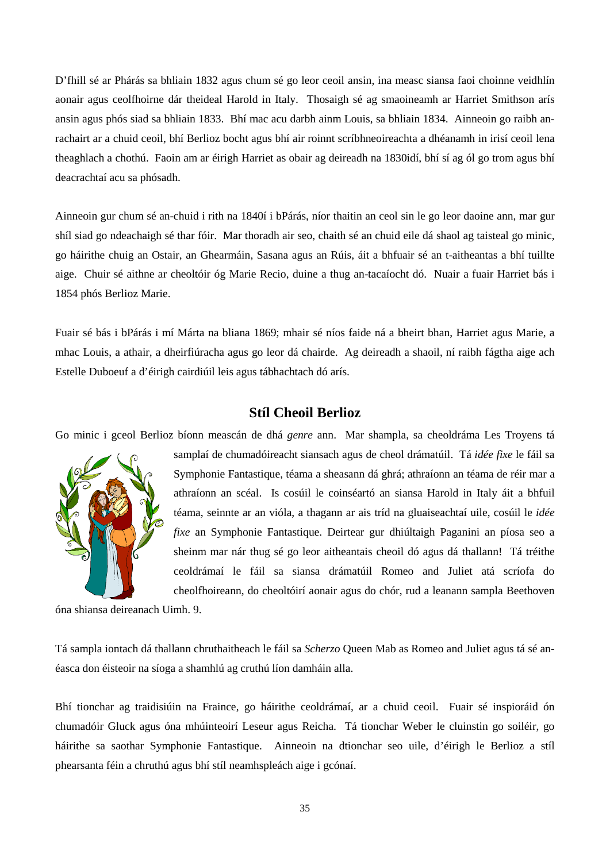D'fhill sé ar Phárás sa bhliain 1832 agus chum sé go leor ceoil ansin, ina measc siansa faoi choinne veidhlín aonair agus ceolfhoirne dár theideal Harold in Italy. Thosaigh sé ag smaoineamh ar Harriet Smithson arís ansin agus phós siad sa bhliain 1833. Bhí mac acu darbh ainm Louis, sa bhliain 1834. Ainneoin go raibh anrachairt ar a chuid ceoil, bhí Berlioz bocht agus bhí air roinnt scríbhneoireachta a dhéanamh in irisí ceoil lena theaghlach a chothú. Faoin am ar éirigh Harriet as obair ag deireadh na 1830idí, bhí sí ag ól go trom agus bhí deacrachtaí acu sa phósadh.

Ainneoin gur chum sé an-chuid i rith na 1840í i bPárás, níor thaitin an ceol sin le go leor daoine ann, mar gur shíl siad go ndeachaigh sé thar fóir. Mar thoradh air seo, chaith sé an chuid eile dá shaol ag taisteal go minic, go háirithe chuig an Ostair, an Ghearmáin, Sasana agus an Rúis, áit a bhfuair sé an t-aitheantas a bhí tuillte aige. Chuir sé aithne ar cheoltóir óg Marie Recio, duine a thug an-tacaíocht dó. Nuair a fuair Harriet bás i 1854 phós Berlioz Marie.

Fuair sé bás i bPárás i mí Márta na bliana 1869; mhair sé níos faide ná a bheirt bhan, Harriet agus Marie, a mhac Louis, a athair, a dheirfiúracha agus go leor dá chairde. Ag deireadh a shaoil, ní raibh fágtha aige ach Estelle Duboeuf a d'éirigh cairdiúil leis agus tábhachtach dó arís.

# **Stíl Cheoil Berlioz**

Go minic i gceol Berlioz bíonn meascán de dhá *genre* ann. Mar shampla, sa cheoldráma Les Troyens tá



samplaí de chumadóireacht siansach agus de cheol drámatúil. Tá *idée fixe* le fáil sa Symphonie Fantastique, téama a sheasann dá ghrá; athraíonn an téama de réir mar a athraíonn an scéal. Is cosúil le coinséartó an siansa Harold in Italy áit a bhfuil téama, seinnte ar an vióla, a thagann ar ais tríd na gluaiseachtaí uile, cosúil le *idée fixe* an Symphonie Fantastique. Deirtear gur dhiúltaigh Paganini an píosa seo a sheinm mar nár thug sé go leor aitheantais cheoil dó agus dá thallann! Tá tréithe ceoldrámaí le fáil sa siansa drámatúil Romeo and Juliet atá scríofa do cheolfhoireann, do cheoltóirí aonair agus do chór, rud a leanann sampla Beethoven

óna shiansa deireanach Uimh. 9.

Tá sampla iontach dá thallann chruthaitheach le fáil sa *Scherzo* Queen Mab as Romeo and Juliet agus tá sé anéasca don éisteoir na síoga a shamhlú ag cruthú líon damháin alla.

Bhí tionchar ag traidisiúin na Fraince, go háirithe ceoldrámaí, ar a chuid ceoil. Fuair sé inspioráid ón chumadóir Gluck agus óna mhúinteoirí Leseur agus Reicha. Tá tionchar Weber le cluinstin go soiléir, go háirithe sa saothar Symphonie Fantastique. Ainneoin na dtionchar seo uile, d'éirigh le Berlioz a stíl phearsanta féin a chruthú agus bhí stíl neamhspleách aige i gcónaí.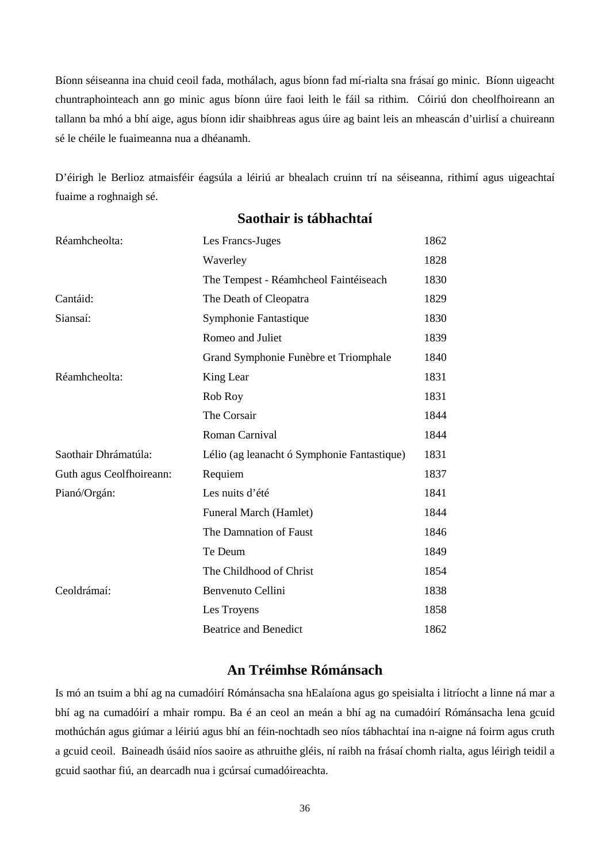Bíonn séiseanna ina chuid ceoil fada, mothálach, agus bíonn fad mí-rialta sna frásaí go minic. Bíonn uigeacht chuntraphointeach ann go minic agus bíonn úire faoi leith le fáil sa rithim. Cóiriú don cheolfhoireann an tallann ba mhó a bhí aige, agus bíonn idir shaibhreas agus úire ag baint leis an mheascán d'uirlisí a chuireann sé le chéile le fuaimeanna nua a dhéanamh.

D'éirigh le Berlioz atmaisféir éagsúla a léiriú ar bhealach cruinn trí na séiseanna, rithimí agus uigeachtaí fuaime a roghnaigh sé.

| Réamhcheolta:            | Les Francs-Juges                            | 1862 |
|--------------------------|---------------------------------------------|------|
|                          | Waverley                                    | 1828 |
|                          | The Tempest - Réamhcheol Faintéiseach       | 1830 |
| Cantáid:                 | The Death of Cleopatra                      | 1829 |
| Siansaí:                 | Symphonie Fantastique                       | 1830 |
|                          | Romeo and Juliet                            | 1839 |
|                          | Grand Symphonie Funèbre et Triomphale       | 1840 |
| Réamhcheolta:            | King Lear                                   | 1831 |
|                          | Rob Roy                                     | 1831 |
|                          | The Corsair                                 | 1844 |
|                          | Roman Carnival                              | 1844 |
| Saothair Dhrámatúla:     | Lélio (ag leanacht ó Symphonie Fantastique) | 1831 |
| Guth agus Ceolfhoireann: | Requiem                                     | 1837 |
| Pianó/Orgán:             | Les nuits d'été                             | 1841 |
|                          | Funeral March (Hamlet)                      | 1844 |
|                          | The Damnation of Faust                      | 1846 |
|                          | Te Deum                                     | 1849 |
|                          | The Childhood of Christ                     | 1854 |
| Ceoldrámaí:              | Benvenuto Cellini                           | 1838 |
|                          | Les Troyens                                 | 1858 |
|                          | <b>Beatrice and Benedict</b>                | 1862 |
|                          |                                             |      |

# **Saothair is tábhachtaí**

# **An Tréimhse Rómánsach**

Is mó an tsuim a bhí ag na cumadóirí Rómánsacha sna hEalaíona agus go speisialta i litríocht a linne ná mar a bhí ag na cumadóirí a mhair rompu. Ba é an ceol an meán a bhí ag na cumadóirí Rómánsacha lena gcuid mothúchán agus giúmar a léiriú agus bhí an féin-nochtadh seo níos tábhachtaí ina n-aigne ná foirm agus cruth a gcuid ceoil. Baineadh úsáid níos saoire as athruithe gléis, ní raibh na frásaí chomh rialta, agus léirigh teidil a gcuid saothar fiú, an dearcadh nua i gcúrsaí cumadóireachta.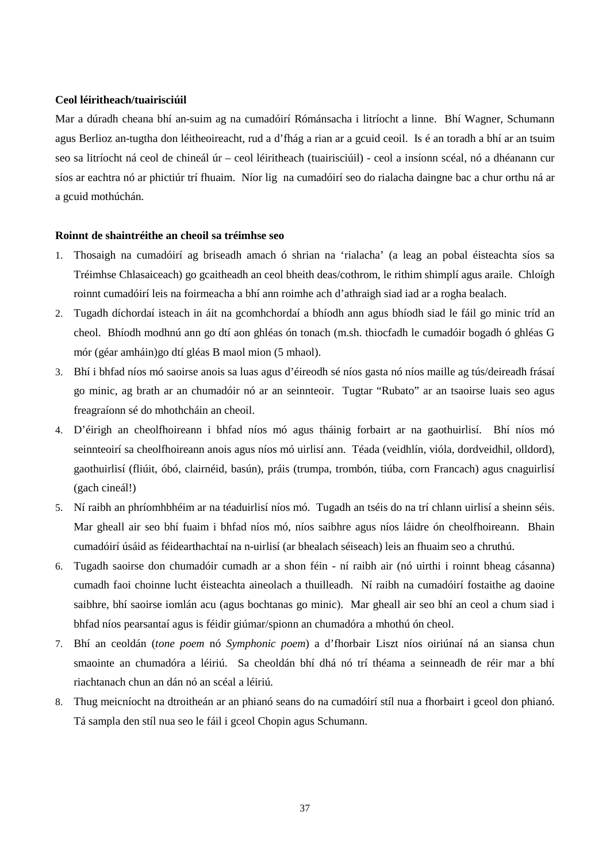#### **Ceol léiritheach/tuairisciúil**

Mar a dúradh cheana bhí an-suim ag na cumadóirí Rómánsacha i litríocht a linne. Bhí Wagner, Schumann agus Berlioz an-tugtha don léitheoireacht, rud a d'fhág a rian ar a gcuid ceoil. Is é an toradh a bhí ar an tsuim seo sa litríocht ná ceol de chineál úr – ceol léiritheach (tuairisciúil) - ceol a insíonn scéal, nó a dhéanann cur síos ar eachtra nó ar phictiúr trí fhuaim. Níor lig na cumadóirí seo do rialacha daingne bac a chur orthu ná ar a gcuid mothúchán.

#### **Roinnt de shaintréithe an cheoil sa tréimhse seo**

- 1. Thosaigh na cumadóirí ag briseadh amach ó shrian na 'rialacha' (a leag an pobal éisteachta síos sa Tréimhse Chlasaiceach) go gcaitheadh an ceol bheith deas/cothrom, le rithim shimplí agus araile. Chloígh roinnt cumadóirí leis na foirmeacha a bhí ann roimhe ach d'athraigh siad iad ar a rogha bealach.
- 2. Tugadh díchordaí isteach in áit na gcomhchordaí a bhíodh ann agus bhíodh siad le fáil go minic tríd an cheol. Bhíodh modhnú ann go dtí aon ghléas ón tonach (m.sh. thiocfadh le cumadóir bogadh ó ghléas G mór (géar amháin)go dtí gléas B maol mion (5 mhaol).
- 3. Bhí i bhfad níos mó saoirse anois sa luas agus d'éireodh sé níos gasta nó níos maille ag tús/deireadh frásaí go minic, ag brath ar an chumadóir nó ar an seinnteoir. Tugtar "Rubato" ar an tsaoirse luais seo agus freagraíonn sé do mhothcháin an cheoil.
- 4. D'éirigh an cheolfhoireann i bhfad níos mó agus tháinig forbairt ar na gaothuirlisí. Bhí níos mó seinnteoirí sa cheolfhoireann anois agus níos mó uirlisí ann. Téada (veidhlín, vióla, dordveidhil, olldord), gaothuirlisí (fliúit, óbó, clairnéid, basún), práis (trumpa, trombón, tiúba, corn Francach) agus cnaguirlisí (gach cineál!)
- 5. Ní raibh an phríomhbhéim ar na téaduirlisí níos mó. Tugadh an tséis do na trí chlann uirlisí a sheinn séis. Mar gheall air seo bhí fuaim i bhfad níos mó, níos saibhre agus níos láidre ón cheolfhoireann. Bhain cumadóirí úsáid as féidearthachtaí na n-uirlisí (ar bhealach séiseach) leis an fhuaim seo a chruthú.
- 6. Tugadh saoirse don chumadóir cumadh ar a shon féin ní raibh air (nó uirthi i roinnt bheag cásanna) cumadh faoi choinne lucht éisteachta aineolach a thuilleadh. Ní raibh na cumadóirí fostaithe ag daoine saibhre, bhí saoirse iomlán acu (agus bochtanas go minic). Mar gheall air seo bhí an ceol a chum siad i bhfad níos pearsantaí agus is féidir giúmar/spionn an chumadóra a mhothú ón cheol.
- 7. Bhí an ceoldán (*tone poem* nó *Symphonic poem*) a d'fhorbair Liszt níos oiriúnaí ná an siansa chun smaointe an chumadóra a léiriú. Sa cheoldán bhí dhá nó trí théama a seinneadh de réir mar a bhí riachtanach chun an dán nó an scéal a léiriú.
- 8. Thug meicníocht na dtroitheán ar an phianó seans do na cumadóirí stíl nua a fhorbairt i gceol don phianó. Tá sampla den stíl nua seo le fáil i gceol Chopin agus Schumann.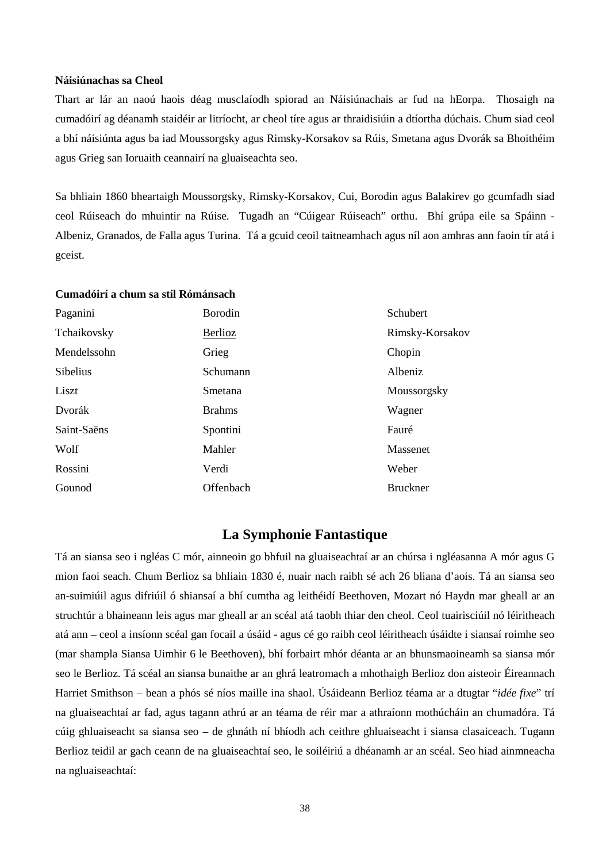#### **Náisiúnachas sa Cheol**

Thart ar lár an naoú haois déag musclaíodh spiorad an Náisiúnachais ar fud na hEorpa. Thosaigh na cumadóirí ag déanamh staidéir ar litríocht, ar cheol tíre agus ar thraidisiúin a dtíortha dúchais. Chum siad ceol a bhí náisiúnta agus ba iad Moussorgsky agus Rimsky-Korsakov sa Rúis, Smetana agus Dvorák sa Bhoithéim agus Grieg san Ioruaith ceannairí na gluaiseachta seo.

Sa bhliain 1860 bheartaigh Moussorgsky, Rimsky-Korsakov, Cui, Borodin agus Balakirev go gcumfadh siad ceol Rúiseach do mhuintir na Rúise. Tugadh an "Cúigear Rúiseach" orthu. Bhí grúpa eile sa Spáinn - Albeniz, Granados, de Falla agus Turina. Tá a gcuid ceoil taitneamhach agus níl aon amhras ann faoin tír atá i gceist.

#### **Cumadóirí a chum sa stíl Rómánsach**

| Paganini    | <b>Borodin</b> | Schubert        |
|-------------|----------------|-----------------|
| Tchaikovsky | Berlioz        | Rimsky-Korsakov |
| Mendelssohn | Grieg          | Chopin          |
| Sibelius    | Schumann       | Albeniz         |
| Liszt       | Smetana        | Moussorgsky     |
| Dvorák      | <b>Brahms</b>  | Wagner          |
| Saint-Saëns | Spontini       | Fauré           |
| Wolf        | Mahler         | Massenet        |
| Rossini     | Verdi          | Weber           |
| Gounod      | Offenbach      | <b>Bruckner</b> |

### **La Symphonie Fantastique**

Tá an siansa seo i ngléas C mór, ainneoin go bhfuil na gluaiseachtaí ar an chúrsa i ngléasanna A mór agus G mion faoi seach. Chum Berlioz sa bhliain 1830 é, nuair nach raibh sé ach 26 bliana d'aois. Tá an siansa seo an-suimiúil agus difriúil ó shiansaí a bhí cumtha ag leithéidí Beethoven, Mozart nó Haydn mar gheall ar an struchtúr a bhaineann leis agus mar gheall ar an scéal atá taobh thiar den cheol. Ceol tuairisciúil nó léiritheach atá ann – ceol a insíonn scéal gan focail a úsáid - agus cé go raibh ceol léiritheach úsáidte i siansaí roimhe seo (mar shampla Siansa Uimhir 6 le Beethoven), bhí forbairt mhór déanta ar an bhunsmaoineamh sa siansa mór seo le Berlioz. Tá scéal an siansa bunaithe ar an ghrá leatromach a mhothaigh Berlioz don aisteoir Éireannach Harriet Smithson – bean a phós sé níos maille ina shaol. Úsáideann Berlioz téama ar a dtugtar "*idée fixe*" trí na gluaiseachtaí ar fad, agus tagann athrú ar an téama de réir mar a athraíonn mothúcháin an chumadóra. Tá cúig ghluaiseacht sa siansa seo – de ghnáth ní bhíodh ach ceithre ghluaiseacht i siansa clasaiceach. Tugann Berlioz teidil ar gach ceann de na gluaiseachtaí seo, le soiléiriú a dhéanamh ar an scéal. Seo hiad ainmneacha na ngluaiseachtaí: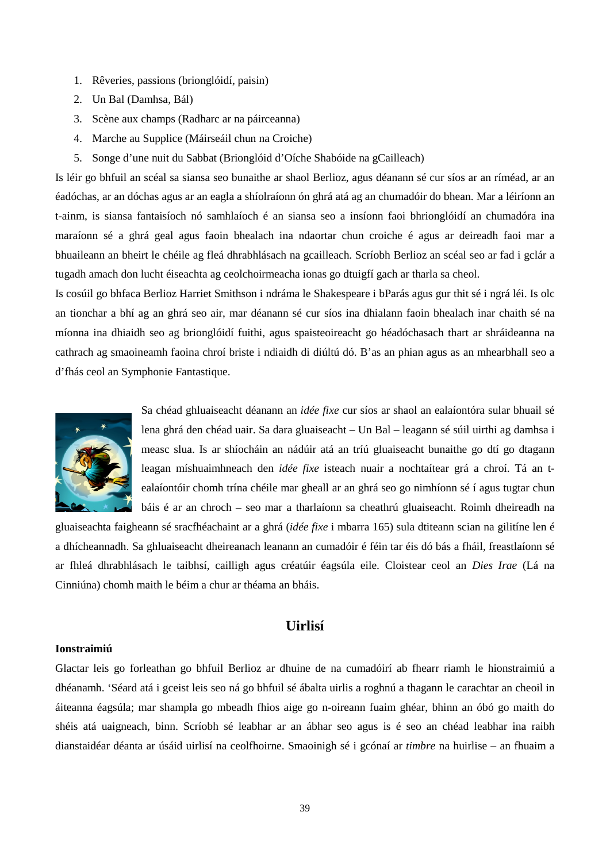- 1. Rêveries, passions (brionglóidí, paisin)
- 2. Un Bal (Damhsa, Bál)
- 3. Scène aux champs (Radharc ar na páirceanna)
- 4. Marche au Supplice (Máirseáil chun na Croiche)
- 5. Songe d'une nuit du Sabbat (Brionglóid d'Oíche Shabóide na gCailleach)

Is léir go bhfuil an scéal sa siansa seo bunaithe ar shaol Berlioz, agus déanann sé cur síos ar an ríméad, ar an éadóchas, ar an dóchas agus ar an eagla a shíolraíonn ón ghrá atá ag an chumadóir do bhean. Mar a léiríonn an t-ainm, is siansa fantaisíoch nó samhlaíoch é an siansa seo a insíonn faoi bhrionglóidí an chumadóra ina maraíonn sé a ghrá geal agus faoin bhealach ina ndaortar chun croiche é agus ar deireadh faoi mar a bhuaileann an bheirt le chéile ag fleá dhrabhlásach na gcailleach. Scríobh Berlioz an scéal seo ar fad i gclár a tugadh amach don lucht éiseachta ag ceolchoirmeacha ionas go dtuigfí gach ar tharla sa cheol.

Is cosúil go bhfaca Berlioz Harriet Smithson i ndráma le Shakespeare i bParás agus gur thit sé i ngrá léi. Is olc an tionchar a bhí ag an ghrá seo air, mar déanann sé cur síos ina dhialann faoin bhealach inar chaith sé na míonna ina dhiaidh seo ag brionglóidí fuithi, agus spaisteoireacht go héadóchasach thart ar shráideanna na cathrach ag smaoineamh faoina chroí briste i ndiaidh di diúltú dó. B'as an phian agus as an mhearbhall seo a d'fhás ceol an Symphonie Fantastique.



Sa chéad ghluaiseacht déanann an *idée fixe* cur síos ar shaol an ealaíontóra sular bhuail sé lena ghrá den chéad uair. Sa dara gluaiseacht – Un Bal – leagann sé súil uirthi ag damhsa i measc slua. Is ar shíocháin an nádúir atá an tríú gluaiseacht bunaithe go dtí go dtagann leagan míshuaimhneach den *idée fixe* isteach nuair a nochtaítear grá a chroí. Tá an tealaíontóir chomh trína chéile mar gheall ar an ghrá seo go nimhíonn sé í agus tugtar chun báis é ar an chroch – seo mar a tharlaíonn sa cheathrú gluaiseacht. Roimh dheireadh na

gluaiseachta faigheann sé sracfhéachaint ar a ghrá (*idée fixe* i mbarra 165) sula dtiteann scian na gilitíne len é a dhícheannadh. Sa ghluaiseacht dheireanach leanann an cumadóir é féin tar éis dó bás a fháil, freastlaíonn sé ar fhleá dhrabhlásach le taibhsí, cailligh agus créatúir éagsúla eile. Cloistear ceol an *Dies Irae* (Lá na Cinniúna) chomh maith le béim a chur ar théama an bháis.

# **Uirlisí**

#### **Ionstraimiú**

Glactar leis go forleathan go bhfuil Berlioz ar dhuine de na cumadóirí ab fhearr riamh le hionstraimiú a dhéanamh. 'Séard atá i gceist leis seo ná go bhfuil sé ábalta uirlis a roghnú a thagann le carachtar an cheoil in áiteanna éagsúla; mar shampla go mbeadh fhios aige go n-oireann fuaim ghéar, bhinn an óbó go maith do shéis atá uaigneach, binn. Scríobh sé leabhar ar an ábhar seo agus is é seo an chéad leabhar ina raibh dianstaidéar déanta ar úsáid uirlisí na ceolfhoirne. Smaoinigh sé i gcónaí ar *timbre* na huirlise – an fhuaim a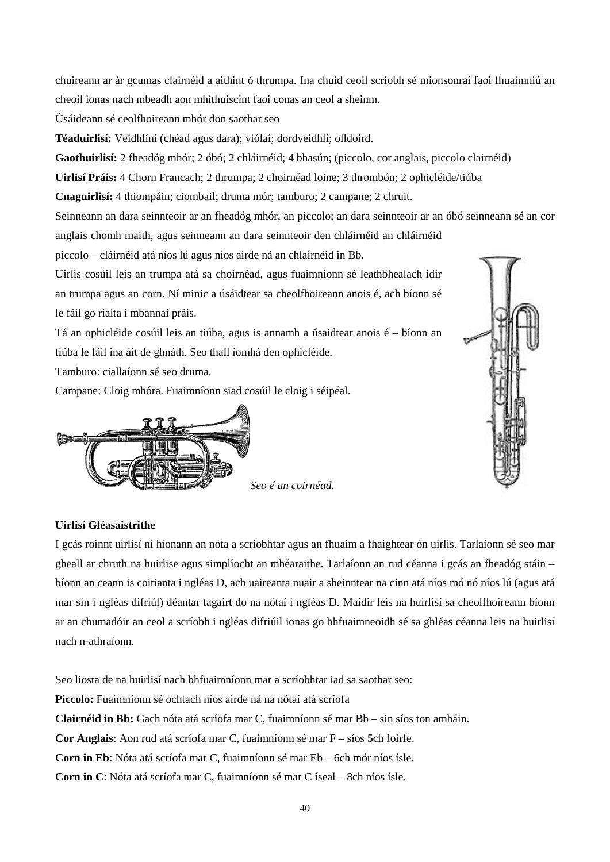chuireann ar ár gcumas clairnéid a aithint ó thrumpa. Ina chuid ceoil scríobh sé mionsonraí faoi fhuaimniú an cheoil ionas nach mbeadh aon mhíthuiscint faoi conas an ceol a sheinm.

Úsáideann sé ceolfhoireann mhór don saothar seo

**Téaduirlisí:** Veidhlíní (chéad agus dara); viólaí; dordveidhlí; olldoird.

**Gaothuirlisí:** 2 fheadóg mhór; 2 óbó; 2 chláirnéid; 4 bhasún; (piccolo, cor anglais, piccolo clairnéid)

**Uirlisí Práis:** 4 Chorn Francach; 2 thrumpa; 2 choirnéad loine; 3 thrombón; 2 ophicléide/tiúba

**Cnaguirlisí:** 4 thiompáin; ciombail; druma mór; tamburo; 2 campane; 2 chruit.

Seinneann an dara seinnteoir ar an fheadóg mhór, an piccolo; an dara seinnteoir ar an óbó seinneann sé an cor anglais chomh maith, agus seinneann an dara seinnteoir den chláirnéid an chláirnéid

piccolo – cláirnéid atá níos lú agus níos airde ná an chlairnéid in Bb.

Uirlis cosúil leis an trumpa atá sa choirnéad, agus fuaimníonn sé leathbhealach idir an trumpa agus an corn. Ní minic a úsáidtear sa cheolfhoireann anois é, ach bíonn sé le fáil go rialta i mbannaí práis.

Tá an ophicléide cosúil leis an tiúba, agus is annamh a úsaidtear anois é – bíonn an tiúba le fáil ina áit de ghnáth. Seo thall íomhá den ophicléide.

Tamburo: ciallaíonn sé seo druma.

Campane: Cloig mhóra. Fuaimníonn siad cosúil le cloig i séipéal.





#### **Uirlisí Gléasaistrithe**

I gcás roinnt uirlisí ní hionann an nóta a scríobhtar agus an fhuaim a fhaightear ón uirlis. Tarlaíonn sé seo mar gheall ar chruth na huirlise agus simplíocht an mhéaraithe. Tarlaíonn an rud céanna i gcás an fheadóg stáin – bíonn an ceann is coitianta i ngléas D, ach uaireanta nuair a sheinntear na cinn atá níos mó nó níos lú (agus atá mar sin i ngléas difriúl) déantar tagairt do na nótaí i ngléas D. Maidir leis na huirlisí sa cheolfhoireann bíonn ar an chumadóir an ceol a scríobh i ngléas difriúil ionas go bhfuaimneoidh sé sa ghléas céanna leis na huirlisí nach n-athraíonn.

Seo liosta de na huirlisí nach bhfuaimníonn mar a scríobhtar iad sa saothar seo: **Piccolo:** Fuaimníonn sé ochtach níos airde ná na nótaí atá scríofa **Clairnéid in Bb:** Gach nóta atá scríofa mar C, fuaimníonn sé mar Bb – sin síos ton amháin. **Cor Anglais**: Aon rud atá scríofa mar C, fuaimníonn sé mar F – síos 5ch foirfe. **Corn in Eb**: Nóta atá scríofa mar C, fuaimníonn sé mar Eb – 6ch mór níos ísle. **Corn in C**: Nóta atá scríofa mar C, fuaimníonn sé mar C íseal – 8ch níos ísle.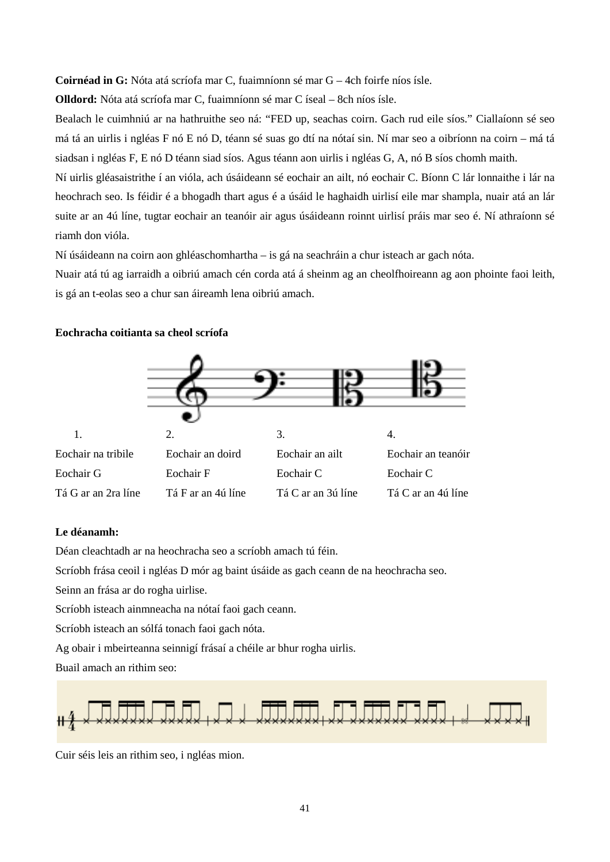**Coirnéad in G:** Nóta atá scríofa mar C, fuaimníonn sé mar G – 4ch foirfe níos ísle.

**Olldord:** Nóta atá scríofa mar C, fuaimníonn sé mar C íseal – 8ch níos ísle.

Bealach le cuimhniú ar na hathruithe seo ná: "FED up, seachas coirn. Gach rud eile síos." Ciallaíonn sé seo má tá an uirlis i ngléas F nó E nó D, téann sé suas go dtí na nótaí sin. Ní mar seo a oibríonn na coirn – má tá siadsan i ngléas F, E nó D téann siad síos. Agus téann aon uirlis i ngléas G, A, nó B síos chomh maith.

Ní uirlis gléasaistrithe í an vióla, ach úsáideann sé eochair an ailt, nó eochair C. Bíonn C lár lonnaithe i lár na heochrach seo. Is féidir é a bhogadh thart agus é a úsáid le haghaidh uirlisí eile mar shampla, nuair atá an lár suite ar an 4ú líne, tugtar eochair an teanóir air agus úsáideann roinnt uirlisí práis mar seo é. Ní athraíonn sé riamh don vióla.

Ní úsáideann na coirn aon ghléaschomhartha – is gá na seachráin a chur isteach ar gach nóta.

Nuair atá tú ag iarraidh a oibriú amach cén corda atá á sheinm ag an cheolfhoireann ag aon phointe faoi leith, is gá an t-eolas seo a chur san áireamh lena oibriú amach.

#### **Eochracha coitianta sa cheol scríofa**



#### **Le déanamh:**

Déan cleachtadh ar na heochracha seo a scríobh amach tú féin.

Scríobh frása ceoil i ngléas D mór ag baint úsáide as gach ceann de na heochracha seo.

Seinn an frása ar do rogha uirlise.

Scríobh isteach ainmneacha na nótaí faoi gach ceann.

Scríobh isteach an sólfá tonach faoi gach nóta.

Ag obair i mbeirteanna seinnigí frásaí a chéile ar bhur rogha uirlis.

Buail amach an rithim seo:



Cuir séis leis an rithim seo, i ngléas mion.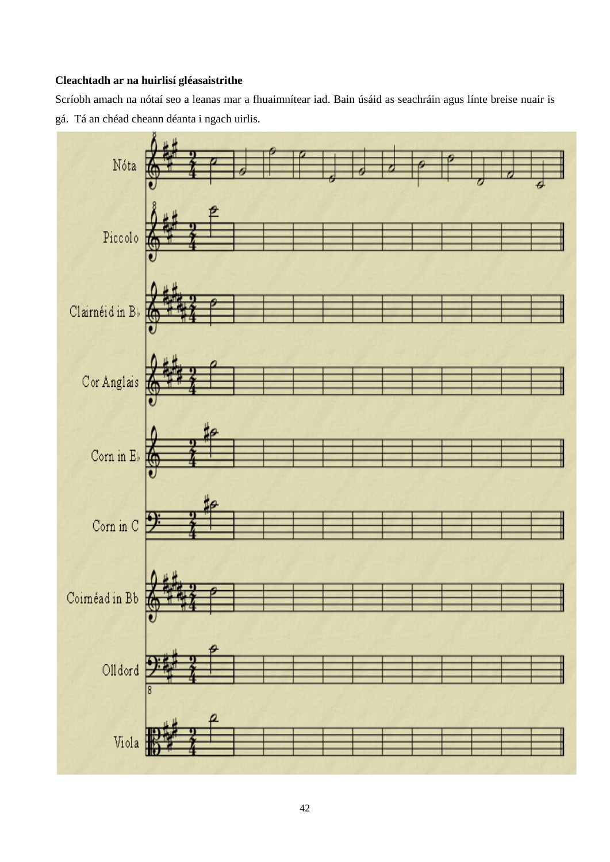# **Cleachtadh ar na huirlisí gléasaistrithe**

Scríobh amach na nótaí seo a leanas mar a fhuaimnítear iad. Bain úsáid as seachráin agus línte breise nuair is gá. Tá an chéad cheann déanta i ngach uirlis.

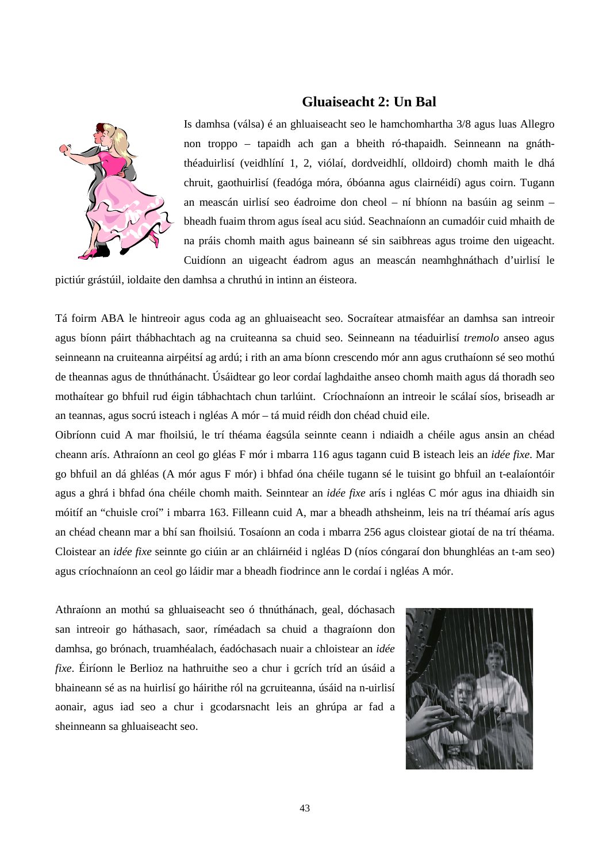### **Gluaiseacht 2: Un Bal**



Is damhsa (válsa) é an ghluaiseacht seo le hamchomhartha 3/8 agus luas Allegro non troppo – tapaidh ach gan a bheith ró-thapaidh. Seinneann na gnáththéaduirlisí (veidhlíní 1, 2, viólaí, dordveidhlí, olldoird) chomh maith le dhá chruit, gaothuirlisí (feadóga móra, óbóanna agus clairnéidí) agus coirn. Tugann an meascán uirlisí seo éadroime don cheol – ní bhíonn na basúin ag seinm – bheadh fuaim throm agus íseal acu siúd. Seachnaíonn an cumadóir cuid mhaith de na práis chomh maith agus baineann sé sin saibhreas agus troime den uigeacht. Cuidíonn an uigeacht éadrom agus an meascán neamhghnáthach d'uirlisí le

pictiúr grástúil, ioldaite den damhsa a chruthú in intinn an éisteora.

Tá foirm ABA le hintreoir agus coda ag an ghluaiseacht seo. Socraítear atmaisféar an damhsa san intreoir agus bíonn páirt thábhachtach ag na cruiteanna sa chuid seo. Seinneann na téaduirlisí *tremolo* anseo agus seinneann na cruiteanna airpéitsí ag ardú; i rith an ama bíonn crescendo mór ann agus cruthaíonn sé seo mothú de theannas agus de thnúthánacht. Úsáidtear go leor cordaí laghdaithe anseo chomh maith agus dá thoradh seo mothaítear go bhfuil rud éigin tábhachtach chun tarlúint. Críochnaíonn an intreoir le scálaí síos, briseadh ar an teannas, agus socrú isteach i ngléas A mór – tá muid réidh don chéad chuid eile.

Oibríonn cuid A mar fhoilsiú, le trí théama éagsúla seinnte ceann i ndiaidh a chéile agus ansin an chéad cheann arís. Athraíonn an ceol go gléas F mór i mbarra 116 agus tagann cuid B isteach leis an *idée fixe*. Mar go bhfuil an dá ghléas (A mór agus F mór) i bhfad óna chéile tugann sé le tuisint go bhfuil an t-ealaíontóir agus a ghrá i bhfad óna chéile chomh maith. Seinntear an *idée fixe* arís i ngléas C mór agus ina dhiaidh sin móitíf an "chuisle croí" i mbarra 163. Filleann cuid A, mar a bheadh athsheinm, leis na trí théamaí arís agus an chéad cheann mar a bhí san fhoilsiú. Tosaíonn an coda i mbarra 256 agus cloistear giotaí de na trí théama. Cloistear an *idée fixe* seinnte go ciúin ar an chláirnéid i ngléas D (níos cóngaraí don bhunghléas an t-am seo) agus críochnaíonn an ceol go láidir mar a bheadh fiodrince ann le cordaí i ngléas A mór.

Athraíonn an mothú sa ghluaiseacht seo ó thnúthánach, geal, dóchasach san intreoir go háthasach, saor, ríméadach sa chuid a thagraíonn don damhsa, go brónach, truamhéalach, éadóchasach nuair a chloistear an *idée fixe*. Éiríonn le Berlioz na hathruithe seo a chur i gcrích tríd an úsáid a bhaineann sé as na huirlisí go háirithe ról na gcruiteanna, úsáid na n-uirlisí aonair, agus iad seo a chur i gcodarsnacht leis an ghrúpa ar fad a sheinneann sa ghluaiseacht seo.

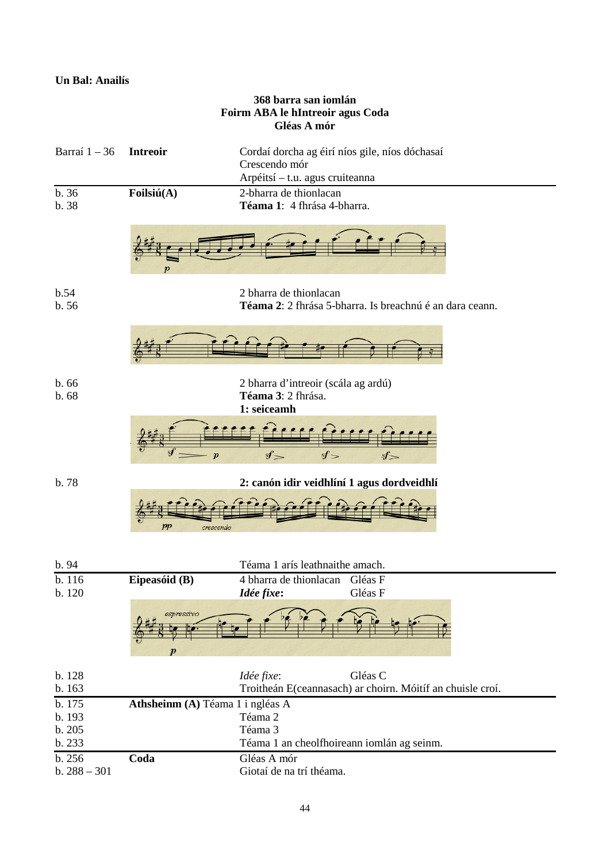# **Un Bal: Anailís**

| 368 barra san iomlán<br>Foirm ABA le hIntreoir agus Coda<br>Gléas A mór                  |                                  |                                                                                                    |  |  |
|------------------------------------------------------------------------------------------|----------------------------------|----------------------------------------------------------------------------------------------------|--|--|
| Barraí $1 - 36$                                                                          | <b>Intreoir</b>                  | Cordaí dorcha ag éirí níos gile, níos dóchasaí<br>Crescendo mór<br>Arpéitsí - t.u. agus cruiteanna |  |  |
| b. 36<br>b. 38                                                                           | Foilsiú(A)                       | 2-bharra de thionlacan<br>Téama 1: 4 fhrása 4-bharra.                                              |  |  |
|                                                                                          | $\boldsymbol{p}$                 |                                                                                                    |  |  |
| b.54<br>b.56                                                                             |                                  | 2 bharra de thionlacan<br>Téama 2: 2 fhrása 5-bharra. Is breachnú é an dara ceann.                 |  |  |
|                                                                                          |                                  |                                                                                                    |  |  |
| b.66<br>2 bharra d'intreoir (scála ag ardú)<br>Téama 3: 2 fhrása.<br>b.68<br>1: seiceamh |                                  |                                                                                                    |  |  |
|                                                                                          | $\boldsymbol{p}$                 | $sf=$<br>sf<br>st                                                                                  |  |  |
| b. 78                                                                                    | $_{pp}$<br>crescendo             | 2: canón idir veidhlíní 1 agus dordveidhlí                                                         |  |  |
| b. 94                                                                                    |                                  | Téama 1 arís leathnaithe amach.                                                                    |  |  |
| b. 116<br>b. 120                                                                         | Eipeasóid (B)                    | Gléas F<br>4 bharra de thionlacan<br>Gléas F<br>Idée fixe:                                         |  |  |
|                                                                                          | espressivo<br>р                  |                                                                                                    |  |  |
| b. 128                                                                                   |                                  | Idée fixe:<br>Gléas C                                                                              |  |  |
| b. 163<br>b. 175                                                                         | Athsheinm (A) Téama 1 i ngléas A | Troitheán E(ceannasach) ar choirn. Móitíf an chuisle croí.                                         |  |  |
| b. 193                                                                                   |                                  | Téama 2                                                                                            |  |  |
| b. 205<br>b. 233                                                                         |                                  | Téama 3<br>Téama 1 an cheolfhoireann iomlán ag seinm.                                              |  |  |
| b. 256<br>$b. 288 - 301$                                                                 | Coda                             | Gléas A mór<br>Giotaí de na trí théama.                                                            |  |  |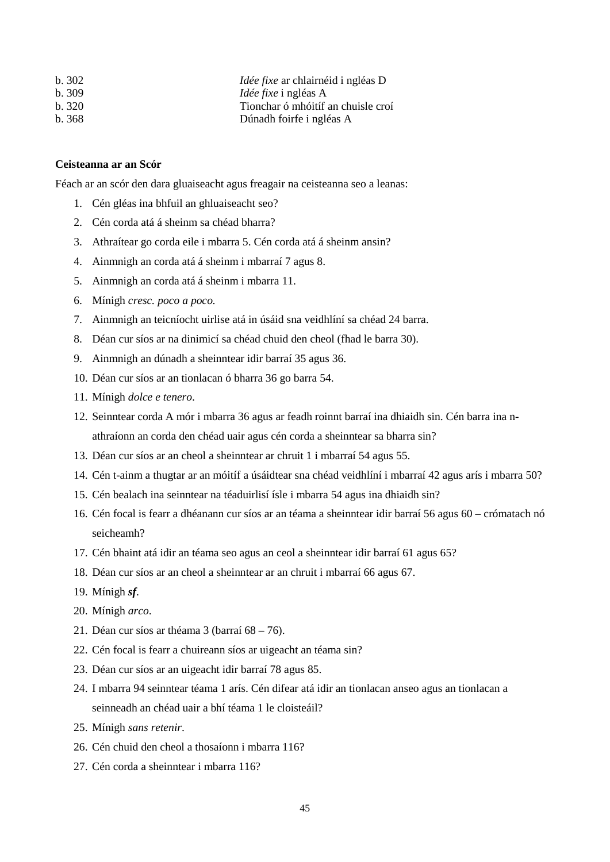| b.302  | <i>Idée fixe</i> ar chlairnéid i ngléas D |
|--------|-------------------------------------------|
| h. 309 | <i>Idée fixe</i> i ngléas A               |
| b.320  | Tionchar ó mhóitíf an chuisle croí        |
| b. 368 | Dúnadh foirfe i ngléas A                  |

#### **Ceisteanna ar an Scór**

Féach ar an scór den dara gluaiseacht agus freagair na ceisteanna seo a leanas:

- 1. Cén gléas ina bhfuil an ghluaiseacht seo?
- 2. Cén corda atá á sheinm sa chéad bharra?
- 3. Athraítear go corda eile i mbarra 5. Cén corda atá á sheinm ansin?
- 4. Ainmnigh an corda atá á sheinm i mbarraí 7 agus 8.
- 5. Ainmnigh an corda atá á sheinm i mbarra 11.
- 6. Mínigh *cresc. poco a poco.*
- 7. Ainmnigh an teicníocht uirlise atá in úsáid sna veidhlíní sa chéad 24 barra.
- 8. Déan cur síos ar na dinimicí sa chéad chuid den cheol (fhad le barra 30).
- 9. Ainmnigh an dúnadh a sheinntear idir barraí 35 agus 36.
- 10. Déan cur síos ar an tionlacan ó bharra 36 go barra 54.
- 11. Mínigh *dolce e tenero*.
- 12. Seinntear corda A mór i mbarra 36 agus ar feadh roinnt barraí ina dhiaidh sin. Cén barra ina nathraíonn an corda den chéad uair agus cén corda a sheinntear sa bharra sin?
- 13. Déan cur síos ar an cheol a sheinntear ar chruit 1 i mbarraí 54 agus 55.
- 14. Cén t-ainm a thugtar ar an móitíf a úsáidtear sna chéad veidhlíní i mbarraí 42 agus arís i mbarra 50?
- 15. Cén bealach ina seinntear na téaduirlisí ísle i mbarra 54 agus ina dhiaidh sin?
- 16. Cén focal is fearr a dhéanann cur síos ar an téama a sheinntear idir barraí 56 agus 60 crómatach nó seicheamh?
- 17. Cén bhaint atá idir an téama seo agus an ceol a sheinntear idir barraí 61 agus 65?
- 18. Déan cur síos ar an cheol a sheinntear ar an chruit i mbarraí 66 agus 67.
- 19. Mínigh *sf*.
- 20. Mínigh *arco*.
- 21. Déan cur síos ar théama 3 (barraí 68 76).
- 22. Cén focal is fearr a chuireann síos ar uigeacht an téama sin?
- 23. Déan cur síos ar an uigeacht idir barraí 78 agus 85.
- 24. I mbarra 94 seinntear téama 1 arís. Cén difear atá idir an tionlacan anseo agus an tionlacan a seinneadh an chéad uair a bhí téama 1 le cloisteáil?
- 25. Mínigh *sans retenir*.
- 26. Cén chuid den cheol a thosaíonn i mbarra 116?
- 27. Cén corda a sheinntear i mbarra 116?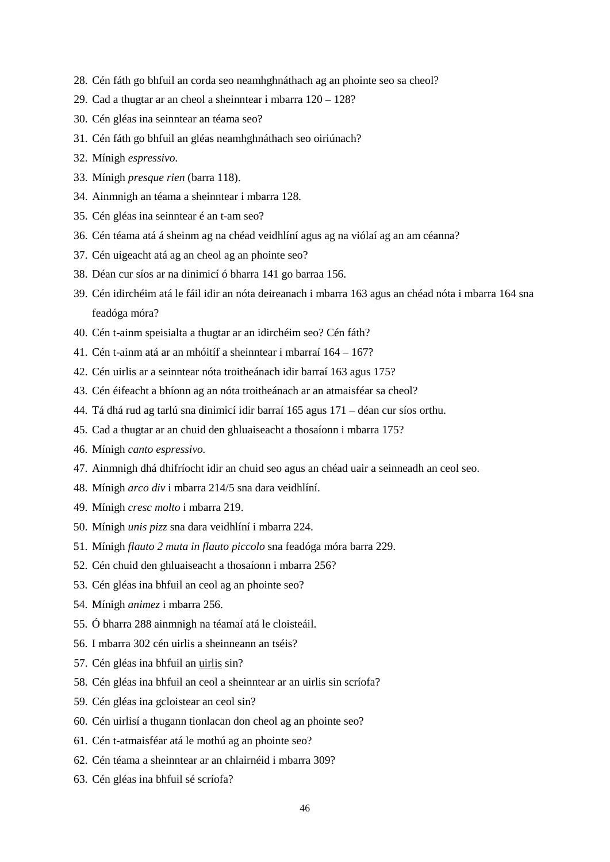- 28. Cén fáth go bhfuil an corda seo neamhghnáthach ag an phointe seo sa cheol?
- 29. Cad a thugtar ar an cheol a sheinntear i mbarra 120 128?
- 30. Cén gléas ina seinntear an téama seo?
- 31. Cén fáth go bhfuil an gléas neamhghnáthach seo oiriúnach?
- 32. Mínigh *espressivo.*
- 33. Mínigh *presque rien* (barra 118).
- 34. Ainmnigh an téama a sheinntear i mbarra 128.
- 35. Cén gléas ina seinntear é an t-am seo?
- 36. Cén téama atá á sheinm ag na chéad veidhlíní agus ag na viólaí ag an am céanna?
- 37. Cén uigeacht atá ag an cheol ag an phointe seo?
- 38. Déan cur síos ar na dinimicí ó bharra 141 go barraa 156.
- 39. Cén idirchéim atá le fáil idir an nóta deireanach i mbarra 163 agus an chéad nóta i mbarra 164 sna feadóga móra?
- 40. Cén t-ainm speisialta a thugtar ar an idirchéim seo? Cén fáth?
- 41. Cén t-ainm atá ar an mhóitíf a sheinntear i mbarraí 164 167?
- 42. Cén uirlis ar a seinntear nóta troitheánach idir barraí 163 agus 175?
- 43. Cén éifeacht a bhíonn ag an nóta troitheánach ar an atmaisféar sa cheol?
- 44. Tá dhá rud ag tarlú sna dinimicí idir barraí 165 agus 171 déan cur síos orthu.
- 45. Cad a thugtar ar an chuid den ghluaiseacht a thosaíonn i mbarra 175?
- 46. Mínigh *canto espressivo.*
- 47. Ainmnigh dhá dhifríocht idir an chuid seo agus an chéad uair a seinneadh an ceol seo.
- 48. Mínigh *arco div* i mbarra 214/5 sna dara veidhlíní.
- 49. Mínigh *cresc molto* i mbarra 219.
- 50. Mínigh *unis pizz* sna dara veidhlíní i mbarra 224.
- 51. Mínigh *flauto 2 muta in flauto piccolo* sna feadóga móra barra 229.
- 52. Cén chuid den ghluaiseacht a thosaíonn i mbarra 256?
- 53. Cén gléas ina bhfuil an ceol ag an phointe seo?
- 54. Mínigh *animez* i mbarra 256.
- 55. Ó bharra 288 ainmnigh na téamaí atá le cloisteáil.
- 56. I mbarra 302 cén uirlis a sheinneann an tséis?
- 57. Cén gléas ina bhfuil an uirlis sin?
- 58. Cén gléas ina bhfuil an ceol a sheinntear ar an uirlis sin scríofa?
- 59. Cén gléas ina gcloistear an ceol sin?
- 60. Cén uirlisí a thugann tionlacan don cheol ag an phointe seo?
- 61. Cén t-atmaisféar atá le mothú ag an phointe seo?
- 62. Cén téama a sheinntear ar an chlairnéid i mbarra 309?
- 63. Cén gléas ina bhfuil sé scríofa?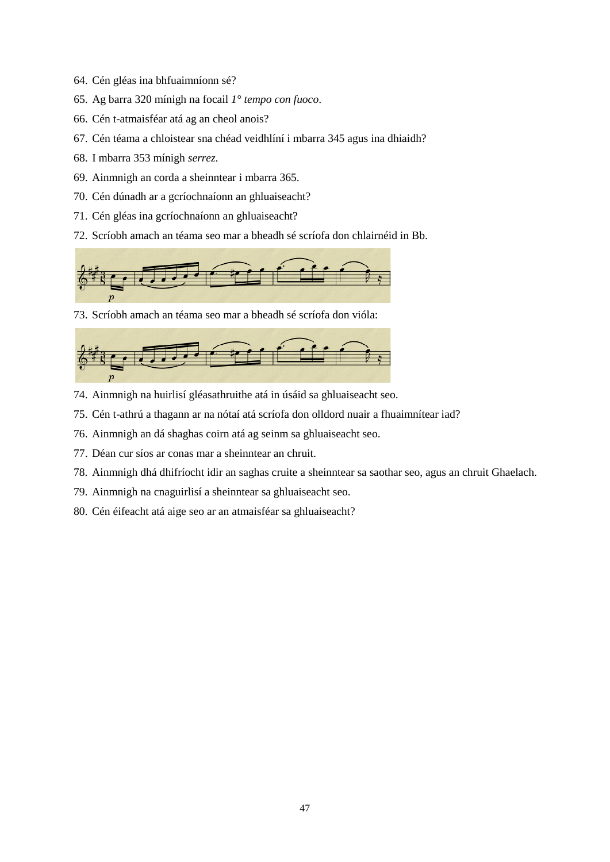- 64. Cén gléas ina bhfuaimníonn sé?
- 65. Ag barra 320 mínigh na focail *1° tempo con fuoco*.
- 66. Cén t-atmaisféar atá ag an cheol anois?
- 67. Cén téama a chloistear sna chéad veidhlíní i mbarra 345 agus ina dhiaidh?
- 68. I mbarra 353 mínigh *serrez*.
- 69. Ainmnigh an corda a sheinntear i mbarra 365.
- 70. Cén dúnadh ar a gcríochnaíonn an ghluaiseacht?
- 71. Cén gléas ina gcríochnaíonn an ghluaiseacht?
- 72. Scríobh amach an téama seo mar a bheadh sé scríofa don chlairnéid in Bb.



73. Scríobh amach an téama seo mar a bheadh sé scríofa don vióla:



- 74. Ainmnigh na huirlisí gléasathruithe atá in úsáid sa ghluaiseacht seo.
- 75. Cén t-athrú a thagann ar na nótaí atá scríofa don olldord nuair a fhuaimnítear iad?
- 76. Ainmnigh an dá shaghas coirn atá ag seinm sa ghluaiseacht seo.
- 77. Déan cur síos ar conas mar a sheinntear an chruit.
- 78. Ainmnigh dhá dhifríocht idir an saghas cruite a sheinntear sa saothar seo, agus an chruit Ghaelach.
- 79. Ainmnigh na cnaguirlisí a sheinntear sa ghluaiseacht seo.
- 80. Cén éifeacht atá aige seo ar an atmaisféar sa ghluaiseacht?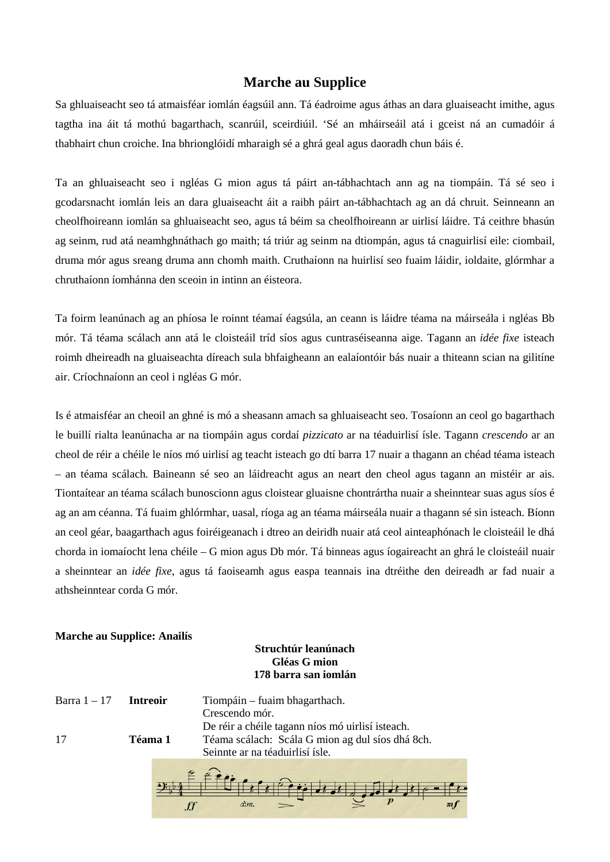# **Marche au Supplice**

Sa ghluaiseacht seo tá atmaisféar iomlán éagsúil ann. Tá éadroime agus áthas an dara gluaiseacht imithe, agus tagtha ina áit tá mothú bagarthach, scanrúil, sceirdiúil. 'Sé an mháirseáil atá i gceist ná an cumadóir á thabhairt chun croiche. Ina bhrionglóidí mharaigh sé a ghrá geal agus daoradh chun báis é.

Ta an ghluaiseacht seo i ngléas G mion agus tá páirt an-tábhachtach ann ag na tiompáin. Tá sé seo i gcodarsnacht iomlán leis an dara gluaiseacht áit a raibh páirt an-tábhachtach ag an dá chruit. Seinneann an cheolfhoireann iomlán sa ghluaiseacht seo, agus tá béim sa cheolfhoireann ar uirlisí láidre. Tá ceithre bhasún ag seinm, rud atá neamhghnáthach go maith; tá triúr ag seinm na dtiompán, agus tá cnaguirlisí eile: ciombail, druma mór agus sreang druma ann chomh maith. Cruthaíonn na huirlisí seo fuaim láidir, ioldaite, glórmhar a chruthaíonn íomhánna den sceoin in intinn an éisteora.

Ta foirm leanúnach ag an phíosa le roinnt téamaí éagsúla, an ceann is láidre téama na máirseála i ngléas Bb mór. Tá téama scálach ann atá le cloisteáil tríd síos agus cuntraséiseanna aige. Tagann an *idée fixe* isteach roimh dheireadh na gluaiseachta díreach sula bhfaigheann an ealaíontóir bás nuair a thiteann scian na gilitíne air. Críochnaíonn an ceol i ngléas G mór.

Is é atmaisféar an cheoil an ghné is mó a sheasann amach sa ghluaiseacht seo. Tosaíonn an ceol go bagarthach le buillí rialta leanúnacha ar na tiompáin agus cordaí *pizzicato* ar na téaduirlisí ísle. Tagann *crescendo* ar an cheol de réir a chéile le níos mó uirlisí ag teacht isteach go dtí barra 17 nuair a thagann an chéad téama isteach – an téama scálach. Baineann sé seo an láidreacht agus an neart den cheol agus tagann an mistéir ar ais. Tiontaítear an téama scálach bunoscionn agus cloistear gluaisne chontrártha nuair a sheinntear suas agus síos é ag an am céanna. Tá fuaim ghlórmhar, uasal, ríoga ag an téama máirseála nuair a thagann sé sin isteach. Bíonn an ceol géar, baagarthach agus foiréigeanach i dtreo an deiridh nuair atá ceol ainteaphónach le cloisteáil le dhá chorda in iomaíocht lena chéile – G mion agus Db mór. Tá binneas agus íogaireacht an ghrá le cloisteáil nuair a sheinntear an *idée fixe*, agus tá faoiseamh agus easpa teannais ina dtréithe den deireadh ar fad nuair a athsheinntear corda G mór.

#### **Marche au Supplice: Anailís**

# **Struchtúr leanúnach Gléas G mion 178 barra san iomlán**

| Barra 1 – 17 | <b>Intreoir</b> | Tiompáin – fuaim bhagarthach.                    |
|--------------|-----------------|--------------------------------------------------|
|              |                 | Crescendo mór.                                   |
|              |                 | De réir a chéile tagann níos mó uirlisí isteach. |
| 17           | Téama 1         | Téama scálach: Scála G mion ag dul síos dhá 8ch. |
|              |                 | Seinnte ar na téaduirlisí ísle.                  |
|              |                 |                                                  |
|              |                 | dim.                                             |

 $ff$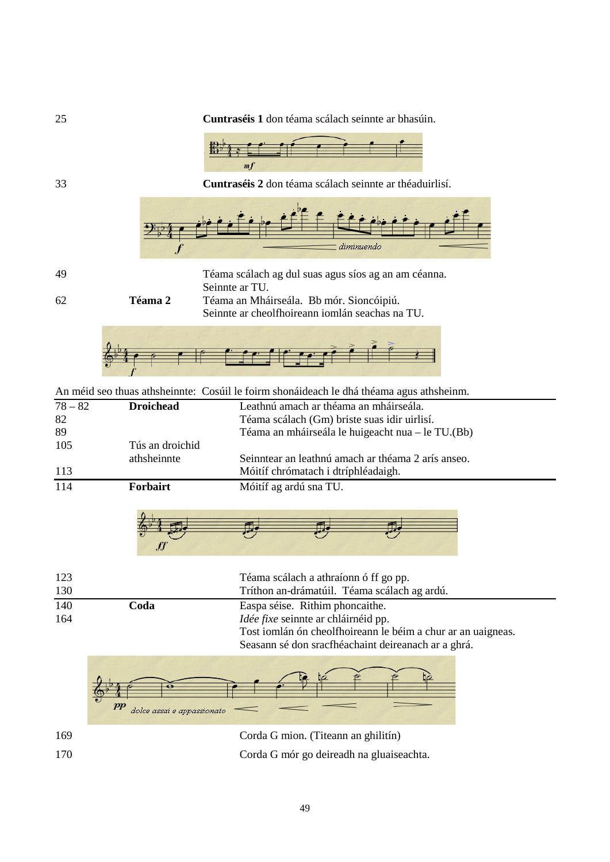

 **Coda** Easpa séise. Rithim phoncaithe. *Idée fixe* seinnte ar chláirnéid pp. Tost iomlán ón cheolfhoireann le béim a chur ar an uaigneas. Seasann sé don sracfhéachaint deireanach ar a ghrá.



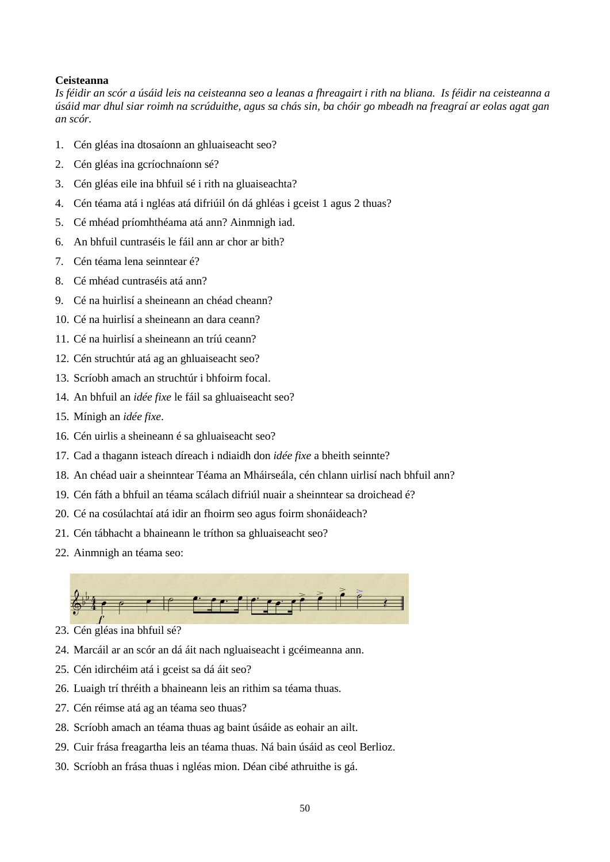#### **Ceisteanna**

*Is féidir an scór a úsáid leis na ceisteanna seo a leanas a fhreagairt i rith na bliana. Is féidir na ceisteanna a úsáid mar dhul siar roimh na scrúduithe, agus sa chás sin, ba chóir go mbeadh na freagraí ar eolas agat gan an scór.*

- 1. Cén gléas ina dtosaíonn an ghluaiseacht seo?
- 2. Cén gléas ina gcríochnaíonn sé?
- 3. Cén gléas eile ina bhfuil sé i rith na gluaiseachta?
- 4. Cén téama atá i ngléas atá difriúil ón dá ghléas i gceist 1 agus 2 thuas?
- 5. Cé mhéad príomhthéama atá ann? Ainmnigh iad.
- 6. An bhfuil cuntraséis le fáil ann ar chor ar bith?
- 7. Cén téama lena seinntear é?
- 8. Cé mhéad cuntraséis atá ann?
- 9. Cé na huirlisí a sheineann an chéad cheann?
- 10. Cé na huirlisí a sheineann an dara ceann?
- 11. Cé na huirlisí a sheineann an tríú ceann?
- 12. Cén struchtúr atá ag an ghluaiseacht seo?
- 13. Scríobh amach an struchtúr i bhfoirm focal.
- 14. An bhfuil an *idée fixe* le fáil sa ghluaiseacht seo?
- 15. Mínigh an *idée fixe*.
- 16. Cén uirlis a sheineann é sa ghluaiseacht seo?
- 17. Cad a thagann isteach díreach i ndiaidh don *idée fixe* a bheith seinnte?
- 18. An chéad uair a sheinntear Téama an Mháirseála, cén chlann uirlisí nach bhfuil ann?
- 19. Cén fáth a bhfuil an téama scálach difriúl nuair a sheinntear sa droichead é?
- 20. Cé na cosúlachtaí atá idir an fhoirm seo agus foirm shonáideach?
- 21. Cén tábhacht a bhaineann le tríthon sa ghluaiseacht seo?
- 22. Ainmnigh an téama seo:



- 23. Cén gléas ina bhfuil sé?
- 24. Marcáil ar an scór an dá áit nach ngluaiseacht i gcéimeanna ann.
- 25. Cén idirchéim atá i gceist sa dá áit seo?
- 26. Luaigh trí thréith a bhaineann leis an rithim sa téama thuas.
- 27. Cén réimse atá ag an téama seo thuas?
- 28. Scríobh amach an téama thuas ag baint úsáide as eohair an ailt.
- 29. Cuir frása freagartha leis an téama thuas. Ná bain úsáid as ceol Berlioz.
- 30. Scríobh an frása thuas i ngléas mion. Déan cibé athruithe is gá.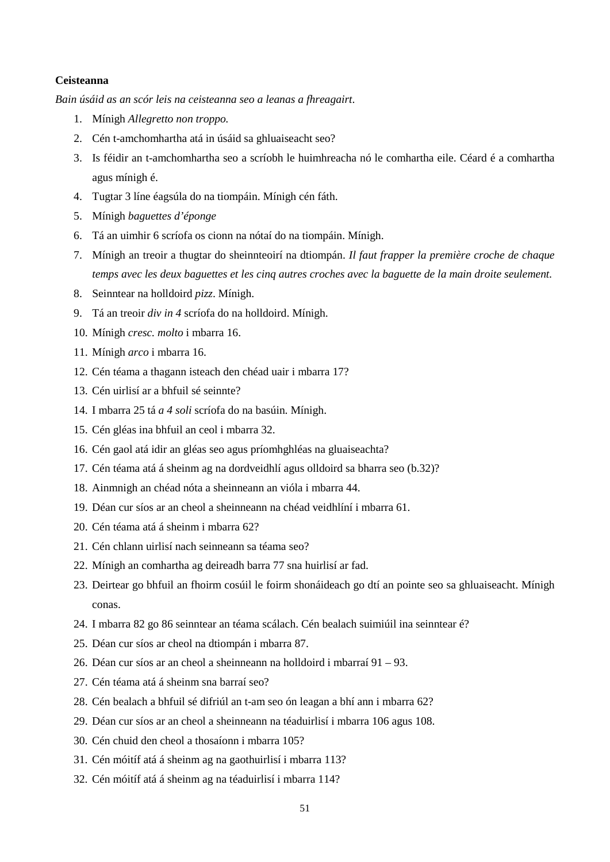#### **Ceisteanna**

*Bain úsáid as an scór leis na ceisteanna seo a leanas a fhreagairt*.

- 1. Mínigh *Allegretto non troppo.*
- 2. Cén t-amchomhartha atá in úsáid sa ghluaiseacht seo?
- 3. Is féidir an t-amchomhartha seo a scríobh le huimhreacha nó le comhartha eile. Céard é a comhartha agus mínigh é.
- 4. Tugtar 3 líne éagsúla do na tiompáin. Mínigh cén fáth.
- 5. Mínigh *baguettes d'éponge*
- 6. Tá an uimhir 6 scríofa os cionn na nótaí do na tiompáin. Mínigh.
- 7. Mínigh an treoir a thugtar do sheinnteoirí na dtiompán. *Il faut frapper la première croche de chaque temps avec les deux baguettes et les cinq autres croches avec la baguette de la main droite seulement.*
- 8. Seinntear na holldoird *pizz*. Mínigh.
- 9. Tá an treoir *div in 4* scríofa do na holldoird. Mínigh.
- 10. Mínigh *cresc. molto* i mbarra 16.
- 11. Mínigh *arco* i mbarra 16.
- 12. Cén téama a thagann isteach den chéad uair i mbarra 17?
- 13. Cén uirlisí ar a bhfuil sé seinnte?
- 14. I mbarra 25 tá *a 4 soli* scríofa do na basúin. Mínigh.
- 15. Cén gléas ina bhfuil an ceol i mbarra 32.
- 16. Cén gaol atá idir an gléas seo agus príomhghléas na gluaiseachta?
- 17. Cén téama atá á sheinm ag na dordveidhlí agus olldoird sa bharra seo (b.32)?
- 18. Ainmnigh an chéad nóta a sheinneann an vióla i mbarra 44.
- 19. Déan cur síos ar an cheol a sheinneann na chéad veidhlíní i mbarra 61.
- 20. Cén téama atá á sheinm i mbarra 62?
- 21. Cén chlann uirlisí nach seinneann sa téama seo?
- 22. Mínigh an comhartha ag deireadh barra 77 sna huirlisí ar fad.
- 23. Deirtear go bhfuil an fhoirm cosúil le foirm shonáideach go dtí an pointe seo sa ghluaiseacht. Mínigh conas.
- 24. I mbarra 82 go 86 seinntear an téama scálach. Cén bealach suimiúil ina seinntear é?
- 25. Déan cur síos ar cheol na dtiompán i mbarra 87.
- 26. Déan cur síos ar an cheol a sheinneann na holldoird i mbarraí 91 93.
- 27. Cén téama atá á sheinm sna barraí seo?
- 28. Cén bealach a bhfuil sé difriúl an t-am seo ón leagan a bhí ann i mbarra 62?
- 29. Déan cur síos ar an cheol a sheinneann na téaduirlisí i mbarra 106 agus 108.
- 30. Cén chuid den cheol a thosaíonn i mbarra 105?
- 31. Cén móitíf atá á sheinm ag na gaothuirlisí i mbarra 113?
- 32. Cén móitíf atá á sheinm ag na téaduirlisí i mbarra 114?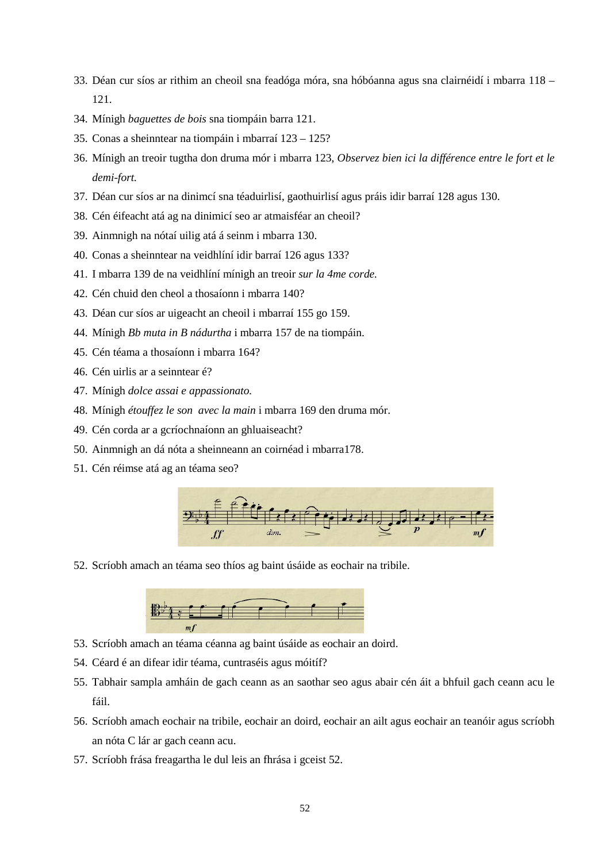- 33. Déan cur síos ar rithim an cheoil sna feadóga móra, sna hóbóanna agus sna clairnéidí i mbarra 118 121.
- 34. Mínigh *baguettes de bois* sna tiompáin barra 121.
- 35. Conas a sheinntear na tiompáin i mbarraí 123 125?
- 36. Mínigh an treoir tugtha don druma mór i mbarra 123, *Observez bien ici la différence entre le fort et le demi-fort.*
- 37. Déan cur síos ar na dinimcí sna téaduirlisí, gaothuirlisí agus práis idir barraí 128 agus 130.
- 38. Cén éifeacht atá ag na dinimicí seo ar atmaisféar an cheoil?
- 39. Ainmnigh na nótaí uilig atá á seinm i mbarra 130.
- 40. Conas a sheinntear na veidhlíní idir barraí 126 agus 133?
- 41. I mbarra 139 de na veidhlíní mínigh an treoir *sur la 4me corde.*
- 42. Cén chuid den cheol a thosaíonn i mbarra 140?
- 43. Déan cur síos ar uigeacht an cheoil i mbarraí 155 go 159.
- 44. Mínigh *Bb muta in B nádurtha* i mbarra 157 de na tiompáin.
- 45. Cén téama a thosaíonn i mbarra 164?
- 46. Cén uirlis ar a seinntear é?
- 47. Mínigh *dolce assai e appassionato.*
- 48. Mínigh *étouffez le son avec la main* i mbarra 169 den druma mór.
- 49. Cén corda ar a gcríochnaíonn an ghluaiseacht?
- 50. Ainmnigh an dá nóta a sheinneann an coirnéad i mbarra178.
- 51. Cén réimse atá ag an téama seo?



52. Scríobh amach an téama seo thíos ag baint úsáide as eochair na tribile.



- 53. Scríobh amach an téama céanna ag baint úsáide as eochair an doird.
- 54. Céard é an difear idir téama, cuntraséis agus móitíf?
- 55. Tabhair sampla amháin de gach ceann as an saothar seo agus abair cén áit a bhfuil gach ceann acu le fáil.
- 56. Scríobh amach eochair na tribile, eochair an doird, eochair an ailt agus eochair an teanóir agus scríobh an nóta C lár ar gach ceann acu.
- 57. Scríobh frása freagartha le dul leis an fhrása i gceist 52.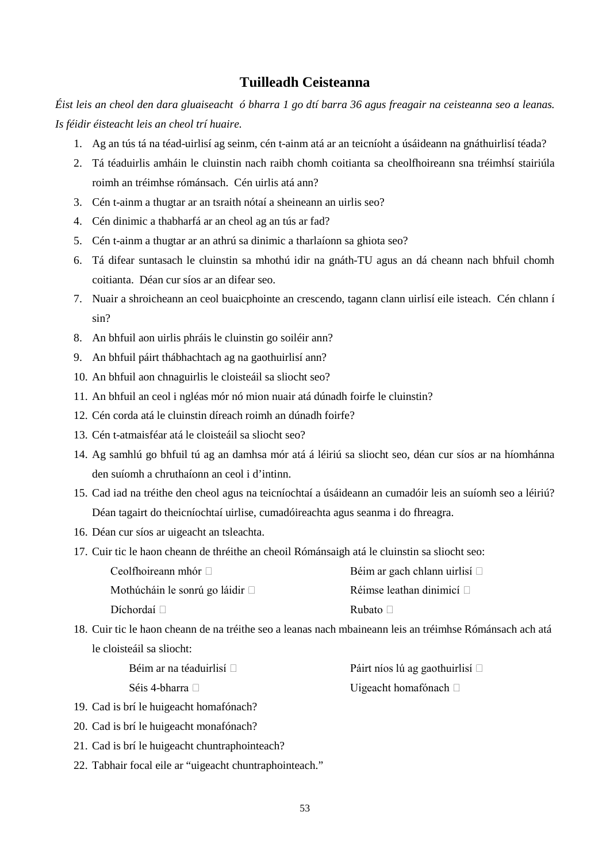# **Tuilleadh Ceisteanna**

*Éist leis an cheol den dara gluaiseacht ó bharra 1 go dtí barra 36 agus freagair na ceisteanna seo a leanas. Is féidir éisteacht leis an cheol trí huaire.*

- 1. Ag an tús tá na téad-uirlisí ag seinm, cén t-ainm atá ar an teicníoht a úsáideann na gnáthuirlisí téada?
- 2. Tá téaduirlis amháin le cluinstin nach raibh chomh coitianta sa cheolfhoireann sna tréimhsí stairiúla roimh an tréimhse rómánsach. Cén uirlis atá ann?
- 3. Cén t-ainm a thugtar ar an tsraith nótaí a sheineann an uirlis seo?
- 4. Cén dinimic a thabharfá ar an cheol ag an tús ar fad?
- 5. Cén t-ainm a thugtar ar an athrú sa dinimic a tharlaíonn sa ghiota seo?
- 6. Tá difear suntasach le cluinstin sa mhothú idir na gnáth-TU agus an dá cheann nach bhfuil chomh coitianta. Déan cur síos ar an difear seo.
- 7. Nuair a shroicheann an ceol buaicphointe an crescendo, tagann clann uirlisí eile isteach. Cén chlann í sin?
- 8. An bhfuil aon uirlis phráis le cluinstin go soiléir ann?
- 9. An bhfuil páirt thábhachtach ag na gaothuirlisí ann?
- 10. An bhfuil aon chnaguirlis le cloisteáil sa sliocht seo?
- 11. An bhfuil an ceol i ngléas mór nó mion nuair atá dúnadh foirfe le cluinstin?
- 12. Cén corda atá le cluinstin díreach roimh an dúnadh foirfe?
- 13. Cén t-atmaisféar atá le cloisteáil sa sliocht seo?
- 14. Ag samhlú go bhfuil tú ag an damhsa mór atá á léiriú sa sliocht seo, déan cur síos ar na híomhánna den suíomh a chruthaíonn an ceol i d'intinn.
- 15. Cad iad na tréithe den cheol agus na teicníochtaí a úsáideann an cumadóir leis an suíomh seo a léiriú? Déan tagairt do theicníochtaí uirlise, cumadóireachta agus seanma i do fhreagra.
- 16. Déan cur síos ar uigeacht an tsleachta.
- 17. Cuir tic le haon cheann de thréithe an cheoil Rómánsaigh atá le cluinstin sa sliocht seo:

| Ceolfhoireann mhór $\Box$            | Béim ar gach chlann uirlisí $\square$ |
|--------------------------------------|---------------------------------------|
| Mothúcháin le sonrú go láidir $\Box$ | Réimse leathan dinimicí $\square$     |
| Díchordaí □                          | Rubato $\Box$                         |

18. Cuir tic le haon cheann de na tréithe seo a leanas nach mbaineann leis an tréimhse Rómánsach ach atá le cloisteáil sa sliocht:

| Béim ar na téaduirlisí $\square$ | Páirt níos lú ag gaothuirlisí $\Box$ |
|----------------------------------|--------------------------------------|
| Séis 4-bharra $\square$          | Uigeacht homafónach $\Box$           |

- 19. Cad is brí le huigeacht homafónach?
- 20. Cad is brí le huigeacht monafónach?
- 21. Cad is brí le huigeacht chuntraphointeach?
- 22. Tabhair focal eile ar "uigeacht chuntraphointeach."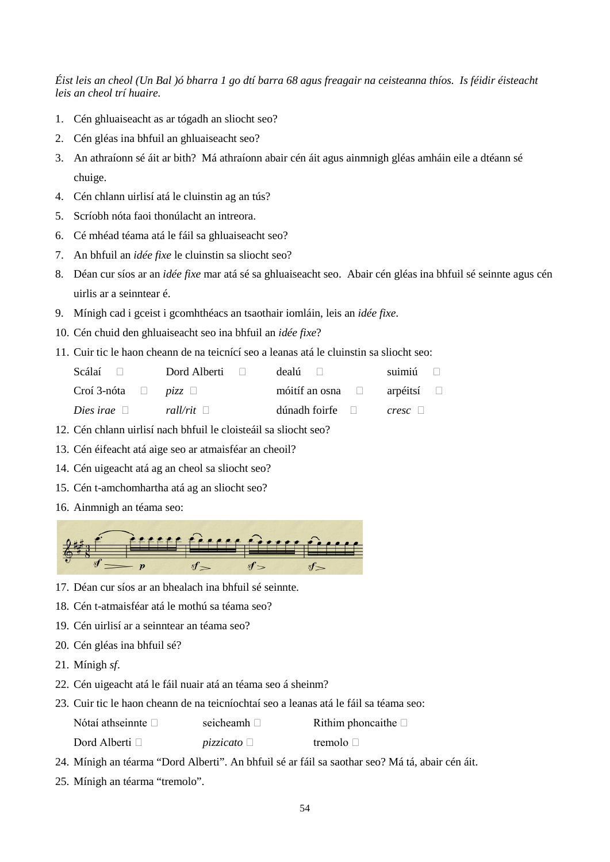*Éist leis an cheol (Un Bal )ó bharra 1 go dtí barra 68 agus freagair na ceisteanna thíos. Is féidir éisteacht leis an cheol trí huaire.* 

- 1. Cén ghluaiseacht as ar tógadh an sliocht seo?
- 2. Cén gléas ina bhfuil an ghluaiseacht seo?
- 3. An athraíonn sé áit ar bith? Má athraíonn abair cén áit agus ainmnigh gléas amháin eile a dtéann sé chuige.
- 4. Cén chlann uirlisí atá le cluinstin ag an tús?
- 5. Scríobh nóta faoi thonúlacht an intreora.
- 6. Cé mhéad téama atá le fáil sa ghluaiseacht seo?
- 7. An bhfuil an *idée fixe* le cluinstin sa sliocht seo?
- 8. Déan cur síos ar an *idée fixe* mar atá sé sa ghluaiseacht seo. Abair cén gléas ina bhfuil sé seinnte agus cén uirlis ar a seinntear é.
- 9. Mínigh cad i gceist i gcomhthéacs an tsaothair iomláin, leis an *idée fixe*.
- 10. Cén chuid den ghluaiseacht seo ina bhfuil an *idée fixe*?
- 11. Cuir tic le haon cheann de na teicnící seo a leanas atá le cluinstin sa sliocht seo:

| Scálaí $\Box$                                  | Dord Alberti $\Box$ | dealú $\Box$                          | suimiú $\Box$ |
|------------------------------------------------|---------------------|---------------------------------------|---------------|
| Croí 3-nóta $\Box$ <i>pizz</i> $\Box$          |                     | móitíf an osna $\Box$ arpéitsí $\Box$ |               |
| <i>Dies irae</i> $\Box$ <i>rall/rit</i> $\Box$ |                     | $\dim$ adh foirfe $\Box$ cresc $\Box$ |               |

- 12. Cén chlann uirlisí nach bhfuil le cloisteáil sa sliocht seo?
- 13. Cén éifeacht atá aige seo ar atmaisféar an cheoil?
- 14. Cén uigeacht atá ag an cheol sa sliocht seo?
- 15. Cén t-amchomhartha atá ag an sliocht seo?
- 16. Ainmnigh an téama seo:



- 17. Déan cur síos ar an bhealach ina bhfuil sé seinnte.
- 18. Cén t-atmaisféar atá le mothú sa téama seo?
- 19. Cén uirlisí ar a seinntear an téama seo?
- 20. Cén gléas ina bhfuil sé?
- 21. Mínigh *sf*.
- 22. Cén uigeacht atá le fáil nuair atá an téama seo á sheinm?
- 23. Cuir tic le haon cheann de na teicníochtaí seo a leanas atá le fáil sa téama seo:

| Nótaí athseinnte $\Box$ | seicheamh $\Box$ | Rithim phoncaithe $\square$ |
|-------------------------|------------------|-----------------------------|
| Dord Alberti $\Box$     | <i>pizzicato</i> | tremolo $\Box$              |

- 24. Mínigh an téarma "Dord Alberti". An bhfuil sé ar fáil sa saothar seo? Má tá, abair cén áit.
- 25. Mínigh an téarma "tremolo".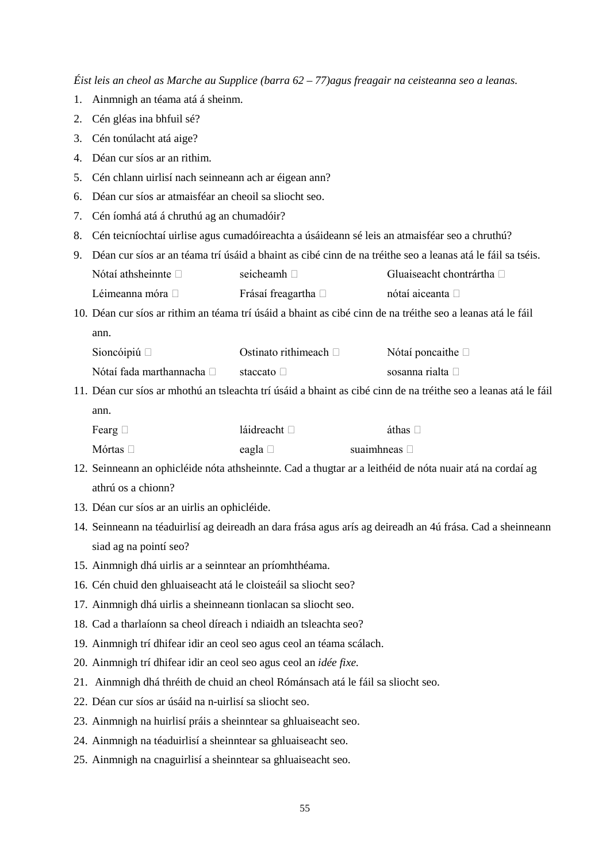*Éist leis an cheol as Marche au Supplice (barra 62 – 77)agus freagair na ceisteanna seo a leanas.*

- 1. Ainmnigh an téama atá á sheinm.
- 2. Cén gléas ina bhfuil sé?
- 3. Cén tonúlacht atá aige?
- 4. Déan cur síos ar an rithim.
- 5. Cén chlann uirlisí nach seinneann ach ar éigean ann?
- 6. Déan cur síos ar atmaisféar an cheoil sa sliocht seo.
- 7. Cén íomhá atá á chruthú ag an chumadóir?
- 8. Cén teicníochtaí uirlise agus cumadóireachta a úsáideann sé leis an atmaisféar seo a chruthú?
- 9. Déan cur síos ar an téama trí úsáid a bhaint as cibé cinn de na tréithe seo a leanas atá le fáil sa tséis. Nótaí athsheinnte  $\Box$  seicheamh  $\Box$  Gluaiseacht chontrártha  $\Box$ Léimeanna móra □ Frásaí freagartha □ nótaí aiceanta □
- 10. Déan cur síos ar rithim an téama trí úsáid a bhaint as cibé cinn de na tréithe seo a leanas atá le fáil ann.

| Sioncóipiú $\Box$         | Ostinato rithimeach $\Box$ | Nótaí poncaithe $\Box$   |
|---------------------------|----------------------------|--------------------------|
| Nótaí fada marthannacha □ | staccato $\Box$            | sosanna rialta $\square$ |

11. Déan cur síos ar mhothú an tsleachta trí úsáid a bhaint as cibé cinn de na tréithe seo a leanas atá le fáil ann.

| Fearg $\Box$  | láidreacht $\Box$ | áthas $\Box$         |
|---------------|-------------------|----------------------|
| Mórtas $\Box$ | eagla $\square$   | suaimhneas $\square$ |

- 12. Seinneann an ophicléide nóta athsheinnte. Cad a thugtar ar a leithéid de nóta nuair atá na cordaí ag athrú os a chionn?
- 13. Déan cur síos ar an uirlis an ophicléide.
- 14. Seinneann na téaduirlisí ag deireadh an dara frása agus arís ag deireadh an 4ú frása. Cad a sheinneann siad ag na pointí seo?
- 15. Ainmnigh dhá uirlis ar a seinntear an príomhthéama.
- 16. Cén chuid den ghluaiseacht atá le cloisteáil sa sliocht seo?
- 17. Ainmnigh dhá uirlis a sheinneann tionlacan sa sliocht seo.
- 18. Cad a tharlaíonn sa cheol díreach i ndiaidh an tsleachta seo?
- 19. Ainmnigh trí dhifear idir an ceol seo agus ceol an téama scálach.
- 20. Ainmnigh trí dhifear idir an ceol seo agus ceol an *idée fixe.*
- 21. Ainmnigh dhá thréith de chuid an cheol Rómánsach atá le fáil sa sliocht seo.
- 22. Déan cur síos ar úsáid na n-uirlisí sa sliocht seo.
- 23. Ainmnigh na huirlisí práis a sheinntear sa ghluaiseacht seo.
- 24. Ainmnigh na téaduirlisí a sheinntear sa ghluaiseacht seo.
- 25. Ainmnigh na cnaguirlisí a sheinntear sa ghluaiseacht seo.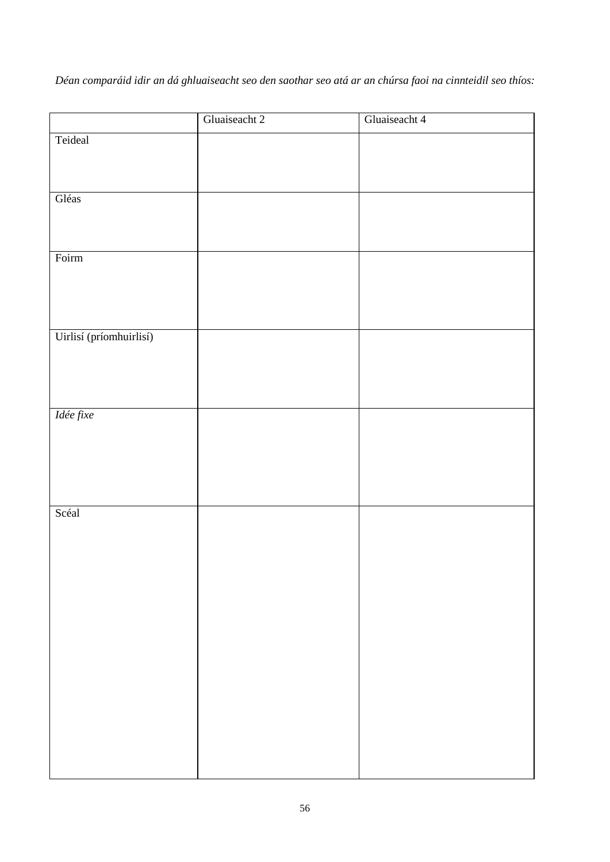*Déan comparáid idir an dá ghluaiseacht seo den saothar seo atá ar an chúrsa faoi na cinnteidil seo thíos:*

|                         | Gluaiseacht 2 | Gluaiseacht 4 |
|-------------------------|---------------|---------------|
| Teideal                 |               |               |
|                         |               |               |
|                         |               |               |
| Gléas                   |               |               |
|                         |               |               |
|                         |               |               |
| Foirm                   |               |               |
|                         |               |               |
|                         |               |               |
|                         |               |               |
| Uirlisí (príomhuirlisí) |               |               |
|                         |               |               |
|                         |               |               |
|                         |               |               |
| Idée fixe               |               |               |
|                         |               |               |
|                         |               |               |
|                         |               |               |
|                         |               |               |
| Scéal                   |               |               |
|                         |               |               |
|                         |               |               |
|                         |               |               |
|                         |               |               |
|                         |               |               |
|                         |               |               |
|                         |               |               |
|                         |               |               |
|                         |               |               |
|                         |               |               |
|                         |               |               |
|                         |               |               |
|                         |               |               |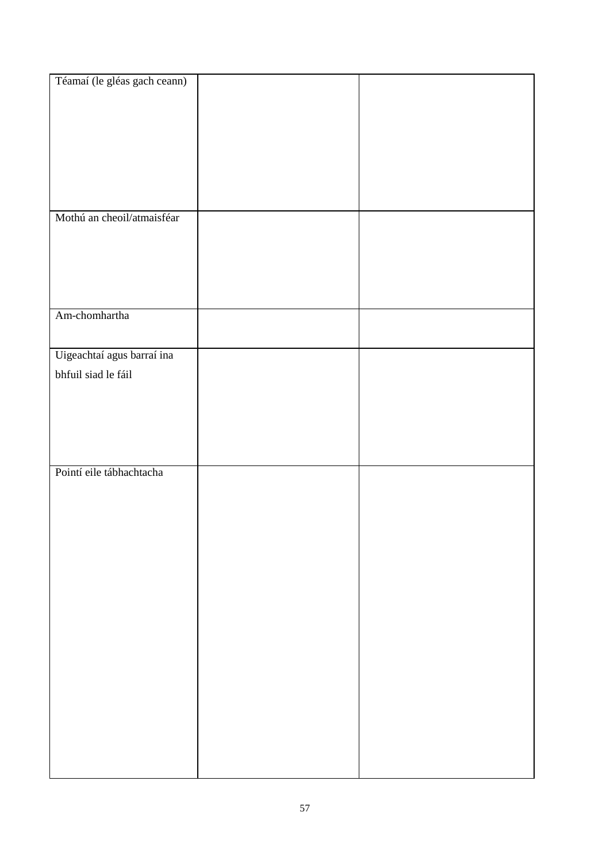| Téamaí (le gléas gach ceann) |  |
|------------------------------|--|
|                              |  |
|                              |  |
|                              |  |
|                              |  |
|                              |  |
|                              |  |
|                              |  |
|                              |  |
|                              |  |
|                              |  |
|                              |  |
|                              |  |
| Mothú an cheoil/atmaisféar   |  |
|                              |  |
|                              |  |
|                              |  |
|                              |  |
|                              |  |
|                              |  |
|                              |  |
| Am-chomhartha                |  |
|                              |  |
|                              |  |
|                              |  |
| Uigeachtaí agus barraí ina   |  |
|                              |  |
| bhfuil siad le fáil          |  |
|                              |  |
|                              |  |
|                              |  |
|                              |  |
|                              |  |
|                              |  |
|                              |  |
| Pointí eile tábhachtacha     |  |
|                              |  |
|                              |  |
|                              |  |
|                              |  |
|                              |  |
|                              |  |
|                              |  |
|                              |  |
|                              |  |
|                              |  |
|                              |  |
|                              |  |
|                              |  |
|                              |  |
|                              |  |
|                              |  |
|                              |  |
|                              |  |
|                              |  |
|                              |  |
|                              |  |
|                              |  |
|                              |  |
|                              |  |
|                              |  |
|                              |  |
|                              |  |
|                              |  |